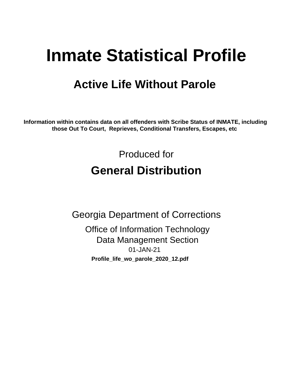# **Inmate Statistical Profile**

## **Active Life Without Parole**

Information within contains data on all offenders with Scribe Status of INMATE, including those Out To Court, Reprieves, Conditional Transfers, Escapes, etc

> Produced for **General Distribution**

**Georgia Department of Corrections Office of Information Technology Data Management Section** 01-JAN-21 Profile\_life\_wo\_parole\_2020\_12.pdf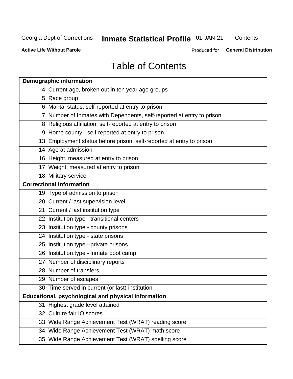## Inmate Statistical Profile 01-JAN-21

Contents

**Active Life Without Parole** 

**General Distribution** Produced for

## **Table of Contents**

|    | <b>Demographic information</b>                                        |
|----|-----------------------------------------------------------------------|
|    | 4 Current age, broken out in ten year age groups                      |
|    | 5 Race group                                                          |
|    | 6 Marital status, self-reported at entry to prison                    |
|    | 7 Number of Inmates with Dependents, self-reported at entry to prison |
|    | 8 Religious affiliation, self-reported at entry to prison             |
|    | 9 Home county - self-reported at entry to prison                      |
|    | 13 Employment status before prison, self-reported at entry to prison  |
|    | 14 Age at admission                                                   |
|    | 16 Height, measured at entry to prison                                |
|    | 17 Weight, measured at entry to prison                                |
|    | 18 Military service                                                   |
|    | <b>Correctional information</b>                                       |
|    | 19 Type of admission to prison                                        |
|    | 20 Current / last supervision level                                   |
|    | 21 Current / last institution type                                    |
|    | 22 Institution type - transitional centers                            |
|    | 23 Institution type - county prisons                                  |
|    | 24 Institution type - state prisons                                   |
|    | 25 Institution type - private prisons                                 |
|    | 26 Institution type - inmate boot camp                                |
|    | 27 Number of disciplinary reports                                     |
|    | 28 Number of transfers                                                |
|    | 29 Number of escapes                                                  |
|    | 30 Time served in current (or last) institution                       |
|    | Educational, psychological and physical information                   |
| 31 | Highest grade level attained                                          |
|    | 32 Culture fair IQ scores                                             |
|    | 33 Wide Range Achievement Test (WRAT) reading score                   |
|    | 34 Wide Range Achievement Test (WRAT) math score                      |
|    | 35 Wide Range Achievement Test (WRAT) spelling score                  |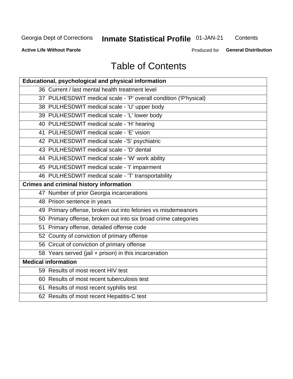## **Inmate Statistical Profile 01-JAN-21**

Contents

**Active Life Without Parole** 

**General Distribution** Produced for

## **Table of Contents**

| <b>Educational, psychological and physical information</b>       |
|------------------------------------------------------------------|
| 36 Current / last mental health treatment level                  |
| 37 PULHESDWIT medical scale - 'P' overall condition ('P'hysical) |
| 38 PULHESDWIT medical scale - 'U' upper body                     |
| 39 PULHESDWIT medical scale - 'L' lower body                     |
| 40 PULHESDWIT medical scale - 'H' hearing                        |
| 41 PULHESDWIT medical scale - 'E' vision                         |
| 42 PULHESDWIT medical scale -'S' psychiatric                     |
| 43 PULHESDWIT medical scale - 'D' dental                         |
| 44 PULHESDWIT medical scale - 'W' work ability                   |
| 45 PULHESDWIT medical scale - 'I' impairment                     |
| 46 PULHESDWIT medical scale - 'T' transportability               |
| <b>Crimes and criminal history information</b>                   |
| 47 Number of prior Georgia incarcerations                        |
| 48 Prison sentence in years                                      |
| 49 Primary offense, broken out into felonies vs misdemeanors     |
| 50 Primary offense, broken out into six broad crime categories   |
| 51 Primary offense, detailed offense code                        |
| 52 County of conviction of primary offense                       |
| 56 Circuit of conviction of primary offense                      |
| 58 Years served (jail + prison) in this incarceration            |
| <b>Medical information</b>                                       |
| 59 Results of most recent HIV test                               |
| 60 Results of most recent tuberculosis test                      |
| 61 Results of most recent syphilis test                          |
| 62 Results of most recent Hepatitis-C test                       |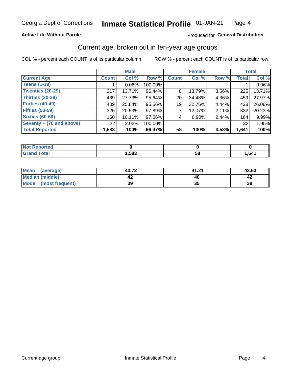### **Active Life Without Parole**

### Produced for General Distribution

### Current age, broken out in ten-year age groups

COL % - percent each COUNT is of its particular column

|                          | <b>Male</b>  |          |         |                 | <b>Female</b> |          |              | <b>Total</b> |
|--------------------------|--------------|----------|---------|-----------------|---------------|----------|--------------|--------------|
| <b>Current Age</b>       | <b>Count</b> | Col %    | Row %   | <b>Count</b>    | Col %         | Row %    | <b>Total</b> | Col %        |
| <b>Teens (1-19)</b>      |              | $0.06\%$ | 100.00% |                 |               |          |              | 0.06%        |
| <b>Twenties (20-29)</b>  | 217          | 13.71%   | 96.44%  | 8               | 13.79%        | $3.56\%$ | 225          | 13.71%       |
| Thirties (30-39)         | 439          | 27.73%   | 95.64%  | 20 <sub>1</sub> | 34.48%        | 4.36%    | 459          | 27.97%       |
| <b>Forties (40-49)</b>   | 409          | 25.84%   | 95.56%  | 19 <sup>1</sup> | 32.76%        | 4.44%    | 428          | 26.08%       |
| <b>Fifties (50-59)</b>   | 325          | 20.53%   | 97.89%  |                 | 12.07%        | 2.11%    | 332          | 20.23%       |
| <b>Sixties (60-69)</b>   | 160          | 10.11%   | 97.56%  | 4               | $6.90\%$      | 2.44%    | 164          | 9.99%        |
| Seventy + (70 and above) | 32           | 2.02%    | 100.00% |                 |               |          | 32           | 1.95%        |
| <b>Total Reported</b>    | 1,583        | 100%     | 96.47%  | 58              | 100%          | 3.53%    | 1,641        | 100%         |

| <b>Not Reported</b>  |      |    |      |
|----------------------|------|----|------|
| <b>Total</b><br>Cron | ,583 | 58 | 641, |

| Mean<br>(average)    | 43.72 | 41.21 | 43.63 |
|----------------------|-------|-------|-------|
| Median (middle)      |       |       |       |
| Mode (most frequent) | 39    | JJ    | 39    |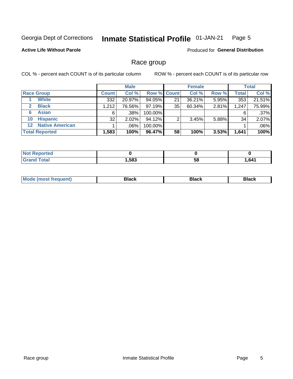#### **Inmate Statistical Profile 01-JAN-21** Page 5

### **Active Life Without Parole**

**Produced for General Distribution** 

### Race group

COL % - percent each COUNT is of its particular column

|                       |                        | <b>Male</b>  |          |         | <b>Female</b>      |        |       | <b>Total</b> |        |
|-----------------------|------------------------|--------------|----------|---------|--------------------|--------|-------|--------------|--------|
|                       | <b>Race Group</b>      | <b>Count</b> | Col %    |         | <b>Row % Count</b> | Col %  | Row % | <b>Total</b> | Col %  |
|                       | <b>White</b>           | 332          | 20.97%   | 94.05%  | 21                 | 36.21% | 5.95% | 353          | 21.51% |
| $\mathbf{2}$          | <b>Black</b>           | 1,212        | 76.56%   | 97.19%  | 35                 | 60.34% | 2.81% | 1,247        | 75.99% |
| 6                     | <b>Asian</b>           | 6            | $.38\%$  | 100.00% |                    |        |       | 6            | .37%   |
| 10                    | <b>Hispanic</b>        | 32           | $2.02\%$ | 94.12%  | ◠                  | 3.45%  | 5.88% | 34           | 2.07%  |
| $12 \,$               | <b>Native American</b> |              | .06%     | 100.00% |                    |        |       |              | .06%   |
| <b>Total Reported</b> |                        | 1,583        | 100%     | 96.47%  | 58                 | 100%   | 3.53% | 1,641        | 100%   |

| Reported     |      |    |        |
|--------------|------|----|--------|
| <b>Total</b> | ,583 | 58 | 641. ا |

| M | - - - |  |
|---|-------|--|
|   |       |  |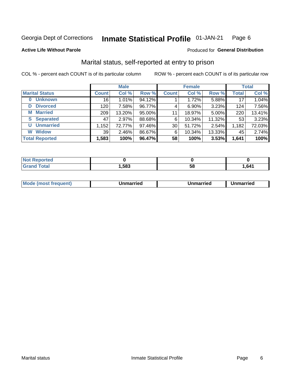#### **Inmate Statistical Profile 01-JAN-21** Page 6

#### **Active Life Without Parole**

## Produced for General Distribution

## Marital status, self-reported at entry to prison

COL % - percent each COUNT is of its particular column

|                            | <b>Male</b>  |          |        | <b>Female</b> |          |        | <b>Total</b> |        |
|----------------------------|--------------|----------|--------|---------------|----------|--------|--------------|--------|
| <b>Marital Status</b>      | <b>Count</b> | Col %    | Row %  | <b>Count</b>  | Col %    | Row %  | <b>Total</b> | Col %  |
| <b>Unknown</b><br>$\bf{0}$ | 16           | 1.01%    | 94.12% |               | 1.72%    | 5.88%  | 17           | 1.04%  |
| <b>Divorced</b><br>D       | 120          | 7.58%    | 96.77% | 4             | $6.90\%$ | 3.23%  | 124          | 7.56%  |
| <b>Married</b><br>М        | 209          | 13.20%   | 95.00% | 11            | 18.97%   | 5.00%  | 220          | 13.41% |
| <b>S</b> Separated         | 47           | 2.97%    | 88.68% | 6             | 10.34%   | 11.32% | 53           | 3.23%  |
| <b>Unmarried</b><br>U      | 1,152        | 72.77%   | 97.46% | 30            | 51.72%   | 2.54%  | 1,182        | 72.03% |
| <b>Widow</b><br>W          | 39           | $2.46\%$ | 86.67% | 6             | 10.34%   | 13.33% | 45           | 2.74%  |
| <b>Total Reported</b>      | 1,583        | 100%     | 96.47% | 58            | 100%     | 3.53%  | 1,641        | 100%   |

| <b>prted</b><br>NOT |      |    |      |
|---------------------|------|----|------|
| <b>Total</b>        | ,583 | ວດ | .641 |

|  | Mo | ımarrıed | Unmarried | Unmarried<br>_______ |
|--|----|----------|-----------|----------------------|
|--|----|----------|-----------|----------------------|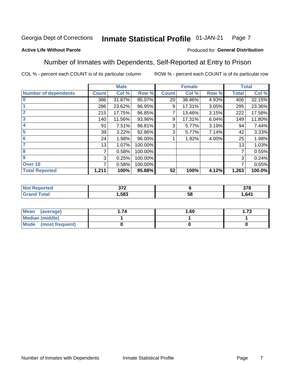#### Inmate Statistical Profile 01-JAN-21 Page 7

### **Active Life Without Parole**

### Produced for General Distribution

### Number of Inmates with Dependents, Self-Reported at Entry to Prison

COL % - percent each COUNT is of its particular column

|                             |              | <b>Male</b> |         |              | <b>Female</b> |       |              | <b>Total</b> |
|-----------------------------|--------------|-------------|---------|--------------|---------------|-------|--------------|--------------|
| <b>Number of dependents</b> | <b>Count</b> | Col %       | Row %   | <b>Count</b> | Col %         | Row % | <b>Total</b> | Col %        |
| $\bf{0}$                    | 386          | 31.87%      | 95.07%  | 20           | 38.46%        | 4.93% | 406          | 32.15%       |
|                             | 286          | 23.62%      | 96.95%  | 9            | 17.31%        | 3.05% | 295          | 23.36%       |
| $\overline{2}$              | 215          | 17.75%      | 96.85%  |              | 13.46%        | 3.15% | 222          | 17.58%       |
| 3                           | 140          | 11.56%      | 93.96%  | 9            | 17.31%        | 6.04% | 149          | 11.80%       |
| 4                           | 91           | 7.51%       | 96.81%  | 3            | 5.77%         | 3.19% | 94           | 7.44%        |
| 5                           | 39           | 3.22%       | 92.86%  | 3            | 5.77%         | 7.14% | 42           | 3.33%        |
| $6\phantom{1}6$             | 24           | 1.98%       | 96.00%  |              | 1.92%         | 4.00% | 25           | 1.98%        |
| 7                           | 13           | 1.07%       | 100.00% |              |               |       | 13           | 1.03%        |
| 8                           | 7            | 0.58%       | 100.00% |              |               |       | 7            | 0.55%        |
| 9                           | 3            | 0.25%       | 100.00% |              |               |       | 3            | 0.24%        |
| Over 10                     | 7            | 0.58%       | 100.00% |              |               |       | 7            | 0.55%        |
| <b>Total Reported</b>       | 1,211        | 100%        | 95.88%  | 52           | 100%          | 4.12% | 1,263        | 100.0%       |

| ^7^<br>$\sim$ |          | 270<br>ა / o |
|---------------|----------|--------------|
| .583          | . .<br>◡ | .641         |

| <b>Mean</b><br>(average) | 1.60 | - 72<br>I. I J |
|--------------------------|------|----------------|
| Median (middle)          |      |                |
| Mode<br>(most frequent)  |      |                |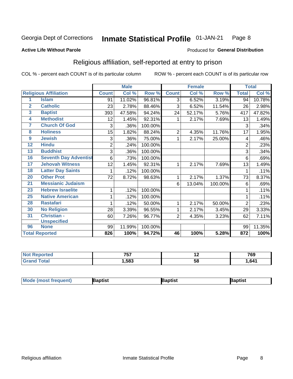#### **Inmate Statistical Profile 01-JAN-21** Page 8

#### **Active Life Without Parole**

#### Produced for General Distribution

## Religious affiliation, self-reported at entry to prison

COL % - percent each COUNT is of its particular column

|                 |                              |                | <b>Male</b> |         |                | <b>Female</b> |         |                | <b>Total</b> |
|-----------------|------------------------------|----------------|-------------|---------|----------------|---------------|---------|----------------|--------------|
|                 | <b>Religious Affiliation</b> | <b>Count</b>   | Col %       | Row %   | <b>Count</b>   | Col %         | Row %   | <b>Total</b>   | Col %        |
| 1               | <b>Islam</b>                 | 91             | 11.02%      | 96.81%  | $\overline{3}$ | 6.52%         | 3.19%   | 94             | 10.78%       |
| $\overline{2}$  | <b>Catholic</b>              | 23             | 2.78%       | 88.46%  | 3              | 6.52%         | 11.54%  | 26             | 2.98%        |
| 3               | <b>Baptist</b>               | 393            | 47.58%      | 94.24%  | 24             | 52.17%        | 5.76%   | 417            | 47.82%       |
| 4               | <b>Methodist</b>             | 12             | 1.45%       | 92.31%  |                | 2.17%         | 7.69%   | 13             | 1.49%        |
| 7               | <b>Church Of God</b>         | 3              | .36%        | 100.00% |                |               |         | 3              | .34%         |
| 8               | <b>Holiness</b>              | 15             | 1.82%       | 88.24%  | $\overline{2}$ | 4.35%         | 11.76%  | 17             | 1.95%        |
| 9               | <b>Jewish</b>                | 3              | .36%        | 75.00%  | 1              | 2.17%         | 25.00%  | 4              | .46%         |
| $\overline{12}$ | <b>Hindu</b>                 | $\overline{2}$ | .24%        | 100.00% |                |               |         | $\overline{2}$ | .23%         |
| 13              | <b>Buddhist</b>              | 3              | .36%        | 100.00% |                |               |         | 3              | .34%         |
| 16              | <b>Seventh Day Adventist</b> | 6              | .73%        | 100.00% |                |               |         | 6              | .69%         |
| 17              | <b>Jehovah Witness</b>       | 12             | 1.45%       | 92.31%  | 1              | 2.17%         | 7.69%   | 13             | 1.49%        |
| 18              | <b>Latter Day Saints</b>     |                | .12%        | 100.00% |                |               |         | 1              | .11%         |
| 20              | <b>Other Prot</b>            | 72             | 8.72%       | 98.63%  | 1              | 2.17%         | 1.37%   | 73             | 8.37%        |
| 21              | <b>Messianic Judaism</b>     |                |             |         | 6              | 13.04%        | 100.00% | 6              | .69%         |
| 23              | <b>Hebrew Israelite</b>      | 1              | .12%        | 100.00% |                |               |         |                | .11%         |
| 25              | <b>Native American</b>       |                | .12%        | 100.00% |                |               |         |                | .11%         |
| 28              | <b>Rastafari</b>             |                | .12%        | 50.00%  | 1              | 2.17%         | 50.00%  | $\overline{2}$ | .23%         |
| 30              | <b>No Religion</b>           | 28             | 3.39%       | 96.55%  | 1              | 2.17%         | 3.45%   | 29             | 3.33%        |
| 31              | Christian -                  | 60             | 7.26%       | 96.77%  | $\overline{2}$ | 4.35%         | 3.23%   | 62             | 7.11%        |
|                 | <b>Unspecified</b>           |                |             |         |                |               |         |                |              |
| 96              | <b>None</b>                  | 99             | 11.99%      | 100.00% |                |               |         | 99             | 11.35%       |
|                 | <b>Total Reported</b>        | 826            | 100%        | 94.72%  | 46             | 100%          | 5.28%   | 872            | 100%         |

| τeα | ----<br>، ب | . . | 769  |
|-----|-------------|-----|------|
|     | .583        | ာင  | .641 |

| <b>Mode (most frequent)</b><br>Baptist<br><b>Japtist</b><br>Baptist |
|---------------------------------------------------------------------|
|---------------------------------------------------------------------|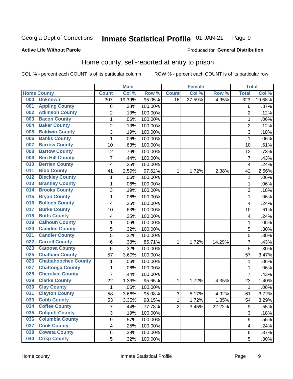#### Inmate Statistical Profile 01-JAN-21 Page 9

#### **Active Life Without Parole**

### Produced for General Distribution

## Home county, self-reported at entry to prison

COL % - percent each COUNT is of its particular column

|     |                             |                  | <b>Male</b> |                  |                | <b>Female</b> |        | <b>Total</b>     |        |
|-----|-----------------------------|------------------|-------------|------------------|----------------|---------------|--------|------------------|--------|
|     | <b>Home County</b>          | <b>Count</b>     | Col %       | Row <sup>%</sup> | <b>Count</b>   | Col %         | Row %  | <b>Total</b>     | Col %  |
| 000 | <b>Unknown</b>              | $\overline{307}$ | 19.39%      | 95.05%           | 16             | 27.59%        | 4.95%  | 323              | 19.68% |
| 001 | <b>Appling County</b>       | 6                | .38%        | 100.00%          |                |               |        | 6                | .37%   |
| 002 | <b>Atkinson County</b>      | $\overline{2}$   | .13%        | 100.00%          |                |               |        | $\overline{2}$   | .12%   |
| 003 | <b>Bacon County</b>         | 1                | .06%        | 100.00%          |                |               |        | 1                | .06%   |
| 004 | <b>Baker County</b>         | $\overline{2}$   | .13%        | 100.00%          |                |               |        | $\overline{2}$   | .12%   |
| 005 | <b>Baldwin County</b>       | 3                | .19%        | 100.00%          |                |               |        | 3                | .18%   |
| 006 | <b>Banks County</b>         | $\mathbf{1}$     | .06%        | 100.00%          |                |               |        | 1                | .06%   |
| 007 | <b>Barrow County</b>        | 10               | .63%        | 100.00%          |                |               |        | 10               | .61%   |
| 008 | <b>Bartow County</b>        | 12               | .76%        | 100.00%          |                |               |        | 12               | .73%   |
| 009 | <b>Ben Hill County</b>      | 7                | .44%        | 100.00%          |                |               |        | 7                | .43%   |
| 010 | <b>Berrien County</b>       | 4                | .25%        | 100.00%          |                |               |        | 4                | .24%   |
| 011 | <b>Bibb County</b>          | 41               | 2.59%       | 97.62%           | 1              | 1.72%         | 2.38%  | 42               | 2.56%  |
| 012 | <b>Bleckley County</b>      | 1                | .06%        | 100.00%          |                |               |        | 1                | .06%   |
| 013 | <b>Brantley County</b>      | $\mathbf 1$      | .06%        | 100.00%          |                |               |        | 1                | .06%   |
| 014 | <b>Brooks County</b>        | 3                | .19%        | 100.00%          |                |               |        | 3                | .18%   |
| 015 | <b>Bryan County</b>         | 1                | .06%        | 100.00%          |                |               |        | 1                | .06%   |
| 016 | <b>Bulloch County</b>       | 4                | .25%        | 100.00%          |                |               |        | 4                | .24%   |
| 017 | <b>Burke County</b>         | 10               | .63%        | 100.00%          |                |               |        | 10               | .61%   |
| 018 | <b>Butts County</b>         | 4                | .25%        | 100.00%          |                |               |        | 4                | .24%   |
| 019 | <b>Calhoun County</b>       | 1                | .06%        | 100.00%          |                |               |        | 1                | .06%   |
| 020 | <b>Camden County</b>        | 5                | .32%        | 100.00%          |                |               |        | 5                | .30%   |
| 021 | <b>Candler County</b>       | 5                | .32%        | 100.00%          |                |               |        | 5                | .30%   |
| 022 | <b>Carroll County</b>       | 6                | .38%        | 85.71%           | 1              | 1.72%         | 14.29% | 7                | .43%   |
| 023 | <b>Catoosa County</b>       | 5                | .32%        | 100.00%          |                |               |        | 5                | .30%   |
| 025 | <b>Chatham County</b>       | 57               | 3.60%       | 100.00%          |                |               |        | 57               | 3.47%  |
| 026 | <b>Chattahoochee County</b> | 1                | .06%        | 100.00%          |                |               |        | 1                | .06%   |
| 027 | <b>Chattooga County</b>     | $\mathbf 1$      | .06%        | 100.00%          |                |               |        | 1                | .06%   |
| 028 | <b>Cherokee County</b>      | $\overline{7}$   | .44%        | 100.00%          |                |               |        | 7                | .43%   |
| 029 | <b>Clarke County</b>        | 22               | 1.39%       | 95.65%           | 1              | 1.72%         | 4.35%  | 23               | 1.40%  |
| 030 | <b>Clay County</b>          | 1                | .06%        | 100.00%          |                |               |        | 1                | .06%   |
| 031 | <b>Clayton County</b>       | 58               | 3.66%       | 95.08%           | 3              | 5.17%         | 4.92%  | 61               | 3.72%  |
| 033 | <b>Cobb County</b>          | 53               | 3.35%       | 98.15%           | 1              | 1.72%         | 1.85%  | 54               | 3.29%  |
| 034 | <b>Coffee County</b>        | $\overline{7}$   | .44%        | 77.78%           | $\overline{2}$ | 3.45%         | 22.22% | 9                | .55%   |
| 035 | <b>Colquitt County</b>      | 3                | .19%        | 100.00%          |                |               |        | 3                | .18%   |
| 036 | <b>Columbia County</b>      | $\overline{9}$   | .57%        | 100.00%          |                |               |        | $\boldsymbol{9}$ | .55%   |
| 037 | <b>Cook County</b>          | 4                | .25%        | 100.00%          |                |               |        | 4                | .24%   |
| 038 | <b>Coweta County</b>        | 6                | .38%        | 100.00%          |                |               |        | 6                | .37%   |
| 040 | <b>Crisp County</b>         | 5                | .32%        | 100.00%          |                |               |        | 5                | .30%   |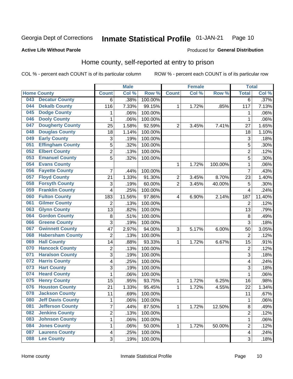#### Inmate Statistical Profile 01-JAN-21 Page 10

Produced for General Distribution

### **Active Life Without Parole**

### Home county, self-reported at entry to prison

COL % - percent each COUNT is of its particular column

|     |                          |                         | <b>Male</b> |         |                | <b>Female</b> |         | <b>Total</b>            |        |
|-----|--------------------------|-------------------------|-------------|---------|----------------|---------------|---------|-------------------------|--------|
|     | <b>Home County</b>       | <b>Count</b>            | Col %       | Row %   | <b>Count</b>   | Col%          | Row %   | <b>Total</b>            | Col %  |
| 043 | <b>Decatur County</b>    | 6                       | .38%        | 100.00% |                |               |         | 6                       | .37%   |
| 044 | <b>Dekalb County</b>     | 116                     | 7.33%       | 99.15%  | 1              | 1.72%         | .85%    | 117                     | 7.13%  |
| 045 | <b>Dodge County</b>      | 1                       | .06%        | 100.00% |                |               |         | 1                       | .06%   |
| 046 | <b>Dooly County</b>      | $\mathbf 1$             | .06%        | 100.00% |                |               |         | 1                       | .06%   |
| 047 | <b>Dougherty County</b>  | 25                      | 1.58%       | 92.59%  | $\overline{2}$ | 3.45%         | 7.41%   | 27                      | 1.65%  |
| 048 | <b>Douglas County</b>    | 18                      | 1.14%       | 100.00% |                |               |         | 18                      | 1.10%  |
| 049 | <b>Early County</b>      | 3                       | .19%        | 100.00% |                |               |         | 3                       | .18%   |
| 051 | <b>Effingham County</b>  | 5                       | .32%        | 100.00% |                |               |         | 5                       | .30%   |
| 052 | <b>Elbert County</b>     | $\overline{\mathbf{c}}$ | .13%        | 100.00% |                |               |         | $\overline{2}$          | .12%   |
| 053 | <b>Emanuel County</b>    | 5                       | .32%        | 100.00% |                |               |         | 5                       | .30%   |
| 054 | <b>Evans County</b>      |                         |             |         | 1              | 1.72%         | 100.00% | 1                       | .06%   |
| 056 | <b>Fayette County</b>    | $\overline{7}$          | .44%        | 100.00% |                |               |         | $\overline{7}$          | .43%   |
| 057 | <b>Floyd County</b>      | 21                      | 1.33%       | 91.30%  | 2              | 3.45%         | 8.70%   | 23                      | 1.40%  |
| 058 | <b>Forsyth County</b>    | 3                       | .19%        | 60.00%  | $\overline{2}$ | 3.45%         | 40.00%  | 5                       | .30%   |
| 059 | <b>Franklin County</b>   | 4                       | .25%        | 100.00% |                |               |         | 4                       | .24%   |
| 060 | <b>Fulton County</b>     | 183                     | 11.56%      | 97.86%  | 4              | 6.90%         | 2.14%   | 187                     | 11.40% |
| 061 | <b>Gilmer County</b>     | 2                       | .13%        | 100.00% |                |               |         | $\overline{2}$          | .12%   |
| 063 | <b>Glynn County</b>      | 13                      | .82%        | 100.00% |                |               |         | 13                      | .79%   |
| 064 | <b>Gordon County</b>     | 8                       | .51%        | 100.00% |                |               |         | 8                       | .49%   |
| 066 | <b>Greene County</b>     | 3                       | .19%        | 100.00% |                |               |         | 3                       | .18%   |
| 067 | <b>Gwinnett County</b>   | 47                      | 2.97%       | 94.00%  | 3              | 5.17%         | 6.00%   | 50                      | 3.05%  |
| 068 | <b>Habersham County</b>  | $\overline{2}$          | .13%        | 100.00% |                |               |         | $\overline{2}$          | .12%   |
| 069 | <b>Hall County</b>       | 14                      | .88%        | 93.33%  | 1              | 1.72%         | 6.67%   | 15                      | .91%   |
| 070 | <b>Hancock County</b>    | $\overline{\mathbf{c}}$ | .13%        | 100.00% |                |               |         | $\overline{2}$          | .12%   |
| 071 | <b>Haralson County</b>   | 3                       | .19%        | 100.00% |                |               |         | 3                       | .18%   |
| 072 | <b>Harris County</b>     | 4                       | .25%        | 100.00% |                |               |         | 4                       | .24%   |
| 073 | <b>Hart County</b>       | $\overline{3}$          | .19%        | 100.00% |                |               |         | 3                       | .18%   |
| 074 | <b>Heard County</b>      | $\mathbf 1$             | .06%        | 100.00% |                |               |         | 1                       | .06%   |
| 075 | <b>Henry County</b>      | 15                      | .95%        | 93.75%  | 1              | 1.72%         | 6.25%   | 16                      | .98%   |
| 076 | <b>Houston County</b>    | 21                      | 1.33%       | 95.45%  | 1              | 1.72%         | 4.55%   | 22                      | 1.34%  |
| 078 | <b>Jackson County</b>    | 11                      | .69%        | 100.00% |                |               |         | 11                      | .67%   |
| 080 | <b>Jeff Davis County</b> | 1                       | .06%        | 100.00% |                |               |         | 1                       | .06%   |
| 081 | <b>Jefferson County</b>  | $\overline{7}$          | .44%        | 87.50%  | $\mathbf{1}$   | 1.72%         | 12.50%  | 8                       | .49%   |
| 082 | <b>Jenkins County</b>    | $\overline{c}$          | .13%        | 100.00% |                |               |         | $\overline{c}$          | .12%   |
| 083 | <b>Johnson County</b>    | $\mathbf{1}$            | .06%        | 100.00% |                |               |         | 1                       | .06%   |
| 084 | <b>Jones County</b>      | $\mathbf{1}$            | .06%        | 50.00%  | 1              | 1.72%         | 50.00%  | $\overline{2}$          | .12%   |
| 087 | <b>Laurens County</b>    | $\overline{\mathbf{4}}$ | .25%        | 100.00% |                |               |         | $\overline{\mathbf{4}}$ | .24%   |
| 088 | <b>Lee County</b>        | 3                       | .19%        | 100.00% |                |               |         | 3                       | .18%   |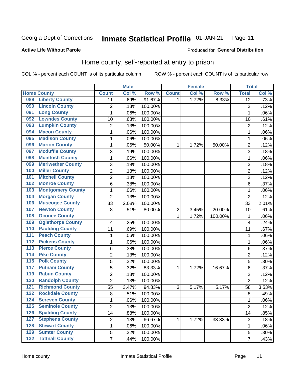#### Inmate Statistical Profile 01-JAN-21 Page 11

Produced for General Distribution

### **Active Life Without Parole**

## Home county, self-reported at entry to prison

COL % - percent each COUNT is of its particular column

|                  |                          |                         | <b>Male</b> |         |              | <b>Female</b> |         | <b>Total</b>    |         |
|------------------|--------------------------|-------------------------|-------------|---------|--------------|---------------|---------|-----------------|---------|
|                  | <b>Home County</b>       | <b>Count</b>            | Col %       | Row %   | <b>Count</b> | Col %         | Row %   | <b>Total</b>    | Col %   |
| 089              | <b>Liberty County</b>    | 11                      | .69%        | 91.67%  | $\mathbf{1}$ | 1.72%         | 8.33%   | $\overline{12}$ | .73%    |
| 090              | <b>Lincoln County</b>    | $\overline{\mathbf{c}}$ | .13%        | 100.00% |              |               |         | $\overline{2}$  | .12%    |
| 091              | <b>Long County</b>       | $\mathbf{1}$            | .06%        | 100.00% |              |               |         | 1               | .06%    |
| 092              | <b>Lowndes County</b>    | 10                      | .63%        | 100.00% |              |               |         | 10              | .61%    |
| 093              | <b>Lumpkin County</b>    | $\overline{2}$          | .13%        | 100.00% |              |               |         | $\overline{2}$  | .12%    |
| 094              | <b>Macon County</b>      | $\mathbf 1$             | .06%        | 100.00% |              |               |         | 1               | .06%    |
| 095              | <b>Madison County</b>    | $\mathbf{1}$            | .06%        | 100.00% |              |               |         | 1               | .06%    |
| 096              | <b>Marion County</b>     | $\mathbf 1$             | .06%        | 50.00%  | 1            | 1.72%         | 50.00%  | $\overline{2}$  | .12%    |
| 097              | <b>Mcduffie County</b>   | 3                       | .19%        | 100.00% |              |               |         | 3               | .18%    |
| 098              | <b>Mcintosh County</b>   | $\mathbf 1$             | .06%        | 100.00% |              |               |         | 1               | .06%    |
| 099              | <b>Meriwether County</b> | $\sqrt{3}$              | .19%        | 100.00% |              |               |         | 3               | .18%    |
| 100              | <b>Miller County</b>     | $\overline{c}$          | .13%        | 100.00% |              |               |         | $\overline{2}$  | .12%    |
| 101              | <b>Mitchell County</b>   | $\overline{2}$          | .13%        | 100.00% |              |               |         | $\overline{2}$  | .12%    |
| 102              | <b>Monroe County</b>     | 6                       | .38%        | 100.00% |              |               |         | 6               | .37%    |
| 103              | <b>Montgomery County</b> | $\mathbf{1}$            | .06%        | 100.00% |              |               |         | 1               | .06%    |
| 104              | <b>Morgan County</b>     | $\overline{2}$          | .13%        | 100.00% |              |               |         | $\overline{2}$  | .12%    |
| 106              | <b>Muscogee County</b>   | 33                      | 2.08%       | 100.00% |              |               |         | 33              | 2.01%   |
| 107              | <b>Newton County</b>     | 8                       | .51%        | 80.00%  | 2            | 3.45%         | 20.00%  | 10              | .61%    |
| 108              | <b>Oconee County</b>     |                         |             |         | 1            | 1.72%         | 100.00% | 1               | .06%    |
| 109              | <b>Oglethorpe County</b> | 4                       | .25%        | 100.00% |              |               |         | 4               | .24%    |
| 110              | <b>Paulding County</b>   | 11                      | .69%        | 100.00% |              |               |         | 11              | .67%    |
| 111              | <b>Peach County</b>      | $\mathbf 1$             | .06%        | 100.00% |              |               |         | 1               | .06%    |
| 112              | <b>Pickens County</b>    | $\mathbf{1}$            | .06%        | 100.00% |              |               |         | 1               | .06%    |
| 113              | <b>Pierce County</b>     | 6                       | .38%        | 100.00% |              |               |         | 6               | .37%    |
| 114              | <b>Pike County</b>       | $\overline{2}$          | .13%        | 100.00% |              |               |         | $\overline{2}$  | .12%    |
| $\overline{115}$ | <b>Polk County</b>       | 5                       | .32%        | 100.00% |              |               |         | 5               | .30%    |
| 117              | <b>Putnam County</b>     | $\sqrt{5}$              | .32%        | 83.33%  | 1            | 1.72%         | 16.67%  | 6               | .37%    |
| 119              | <b>Rabun County</b>      | $\overline{2}$          | .13%        | 100.00% |              |               |         | $\overline{2}$  | .12%    |
| 120              | <b>Randolph County</b>   | $\overline{2}$          | .13%        | 100.00% |              |               |         | $\overline{2}$  | .12%    |
| 121              | <b>Richmond County</b>   | 55                      | 3.47%       | 94.83%  | 3            | 5.17%         | 5.17%   | 58              | 3.53%   |
| 122              | <b>Rockdale County</b>   | $\,8\,$                 | .51%        | 100.00% |              |               |         | 8               | .49%    |
| 124              | <b>Screven County</b>    | 1                       | .06%        | 100.00% |              |               |         | 1               | .06%    |
| 125              | <b>Seminole County</b>   | $\overline{2}$          | .13%        | 100.00% |              |               |         | $\overline{2}$  | .12%    |
| 126              | <b>Spalding County</b>   | 14                      | .88%        | 100.00% |              |               |         | 14              | .85%    |
| 127              | <b>Stephens County</b>   | $\boldsymbol{2}$        | .13%        | 66.67%  | 1            | 1.72%         | 33.33%  | 3               | .18%    |
| 128              | <b>Stewart County</b>    | 1                       | .06%        | 100.00% |              |               |         | 1               | .06%    |
| 129              | <b>Sumter County</b>     | 5                       | .32%        | 100.00% |              |               |         | 5               | $.30\%$ |
| 132              | <b>Tattnall County</b>   | $\overline{7}$          | .44%        | 100.00% |              |               |         | 7               | .43%    |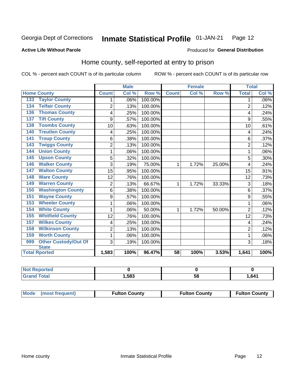#### Inmate Statistical Profile 01-JAN-21 Page 12

Produced for General Distribution

### **Active Life Without Parole**

## Home county, self-reported at entry to prison

COL % - percent each COUNT is of its particular column

|                                           |                | <b>Male</b> |         |                 | <b>Female</b> |        | <b>Total</b>   |         |
|-------------------------------------------|----------------|-------------|---------|-----------------|---------------|--------|----------------|---------|
| <b>Home County</b>                        | <b>Count</b>   | Col %       | Row %   | <b>Count</b>    | Col %         | Row %  | <b>Total</b>   | Col%    |
| <b>Taylor County</b><br>133               | 1              | .06%        | 100.00% |                 |               |        | 1              | $.06\%$ |
| <b>Telfair County</b><br>$13\overline{4}$ | $\overline{2}$ | .13%        | 100.00% |                 |               |        | $\overline{2}$ | .12%    |
| <b>Thomas County</b><br>136               | 4              | .25%        | 100.00% |                 |               |        | 4              | .24%    |
| <b>Tift County</b><br>137                 | 9              | .57%        | 100.00% |                 |               |        | 9              | .55%    |
| <b>Toombs County</b><br>138               | 10             | .63%        | 100.00% |                 |               |        | 10             | .61%    |
| <b>Treutlen County</b><br>140             | 4              | .25%        | 100.00% |                 |               |        | 4              | .24%    |
| <b>Troup County</b><br>141                | 6              | .38%        | 100.00% |                 |               |        | 6              | .37%    |
| <b>Twiggs County</b><br>143               | $\overline{2}$ | .13%        | 100.00% |                 |               |        | 2              | .12%    |
| <b>Union County</b><br>144                | 1              | .06%        | 100.00% |                 |               |        |                | $.06\%$ |
| <b>Upson County</b><br>145                | 5              | .32%        | 100.00% |                 |               |        | 5              | $.30\%$ |
| <b>Walker County</b><br>146               | 3              | .19%        | 75.00%  | 1               | 1.72%         | 25.00% | 4              | .24%    |
| <b>Walton County</b><br>147               | 15             | .95%        | 100.00% |                 |               |        | 15             | .91%    |
| <b>Ware County</b><br>148                 | 12             | .76%        | 100.00% |                 |               |        | 12             | .73%    |
| <b>Warren County</b><br>149               | $\overline{2}$ | .13%        | 66.67%  | 1               | 1.72%         | 33.33% | 3              | .18%    |
| <b>Washington County</b><br>150           | 6              | .38%        | 100.00% |                 |               |        | 6              | .37%    |
| <b>Wayne County</b><br>151                | 9              | .57%        | 100.00% |                 |               |        | 9              | .55%    |
| <b>Wheeler County</b><br>153              | 1              | .06%        | 100.00% |                 |               |        | 1              | $.06\%$ |
| <b>White County</b><br>154                | 1              | .06%        | 50.00%  | 1               | 1.72%         | 50.00% | $\overline{2}$ | .12%    |
| <b>Whitfield County</b><br>155            | 12             | .76%        | 100.00% |                 |               |        | 12             | .73%    |
| <b>Wilkes County</b><br>157               | 4              | .25%        | 100.00% |                 |               |        | 4              | .24%    |
| <b>Wilkinson County</b><br>158            | $\overline{2}$ | .13%        | 100.00% |                 |               |        | $\overline{2}$ | .12%    |
| <b>Worth County</b><br>159                | 1              | .06%        | 100.00% |                 |               |        |                | $.06\%$ |
| Other Custody/Out Of<br>999               | 3              | .19%        | 100.00% |                 |               |        | 3              | .18%    |
| <b>State</b>                              |                |             |         |                 |               |        |                |         |
| <b>Total Rported</b>                      | 1,583          | 100%        | 96.47%  | $\overline{58}$ | 100%          | 3.53%  | 1,641          | 100%    |

| <b>Not Reported</b> |      |    |     |
|---------------------|------|----|-----|
| <b>Total</b>        | ,583 | ວດ | 641 |

| Mode (most frequent) | <b>Fulton County</b> | <b>Fulton County</b> | <b>Fulton County</b> |
|----------------------|----------------------|----------------------|----------------------|
|----------------------|----------------------|----------------------|----------------------|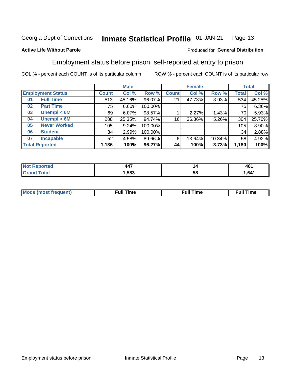#### Inmate Statistical Profile 01-JAN-21 Page 13

### **Active Life Without Parole**

### Produced for General Distribution

## Employment status before prison, self-reported at entry to prison

COL % - percent each COUNT is of its particular column

|                           |              | <b>Male</b> |         |              | <b>Female</b> |        |       | <b>Total</b> |  |
|---------------------------|--------------|-------------|---------|--------------|---------------|--------|-------|--------------|--|
| <b>Employment Status</b>  | <b>Count</b> | Col %       | Row %   | <b>Count</b> | Col %         | Row %  | Total | Col %        |  |
| <b>Full Time</b><br>01    | 513          | 45.16%      | 96.07%  | 21           | 47.73%        | 3.93%  | 534   | 45.25%       |  |
| <b>Part Time</b><br>02    | 75           | 6.60%       | 100.00% |              |               |        | 75    | 6.36%        |  |
| Unempl $<$ 6M<br>03       | 69           | 6.07%       | 98.57%  |              | 2.27%         | 1.43%  | 70    | 5.93%        |  |
| Unempl > 6M<br>04         | 288          | 25.35%      | 94.74%  | 16           | 36.36%        | 5.26%  | 304   | 25.76%       |  |
| <b>Never Worked</b><br>05 | 105          | 9.24%       | 100.00% |              |               |        | 105   | 8.90%        |  |
| <b>Student</b><br>06      | 34           | 2.99%       | 100.00% |              |               |        | 34    | 2.88%        |  |
| <b>Incapable</b><br>07    | 52           | 4.58%       | 89.66%  | 6            | 13.64%        | 10.34% | 58    | 4.92%        |  |
| <b>Total Reported</b>     | 1,136        | 100%        | 96.27%  | 44           | 100%          | 3.73%  | 1,180 | 100%         |  |

| $\overline{\phantom{a}}$<br>4 F<br>$  -$ | I 2 | .<br>461 |
|------------------------------------------|-----|----------|
| .583                                     | ວເ  | 641.,    |

| Mc | ∙u∥<br>----<br>ıme | ίuΙ<br>Πmε |
|----|--------------------|------------|
|    |                    |            |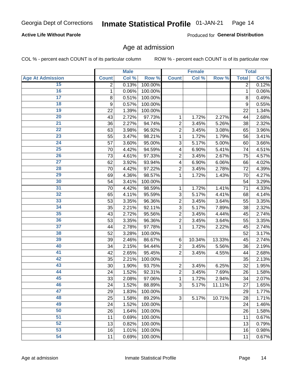### **Active Life Without Parole**

Produced for General Distribution

### Age at admission

COL % - percent each COUNT is of its particular column

|                         |              | <b>Male</b> |         |                | <b>Female</b> |        |                | <b>Total</b> |
|-------------------------|--------------|-------------|---------|----------------|---------------|--------|----------------|--------------|
| <b>Age At Admission</b> | <b>Count</b> | Col %       | Row %   | <b>Count</b>   | Col %         | Row %  | <b>Total</b>   | Col %        |
| 15                      | 2            | 0.13%       | 100.00% |                |               |        | $\overline{2}$ | 0.12%        |
| 16                      | $\mathbf 1$  | 0.06%       | 100.00% |                |               |        | $\mathbf{1}$   | 0.06%        |
| $\overline{17}$         | 8            | 0.51%       | 100.00% |                |               |        | 8              | 0.49%        |
| 18                      | 9            | 0.57%       | 100.00% |                |               |        | 9              | 0.55%        |
| 19                      | 22           | 1.39%       | 100.00% |                |               |        | 22             | 1.34%        |
| $\overline{20}$         | 43           | 2.72%       | 97.73%  | 1              | 1.72%         | 2.27%  | 44             | 2.68%        |
| 21                      | 36           | 2.27%       | 94.74%  | $\overline{c}$ | 3.45%         | 5.26%  | 38             | 2.32%        |
| $\overline{22}$         | 63           | 3.98%       | 96.92%  | $\overline{2}$ | 3.45%         | 3.08%  | 65             | 3.96%        |
| $\overline{23}$         | 55           | 3.47%       | 98.21%  | 1              | 1.72%         | 1.79%  | 56             | 3.41%        |
| $\overline{24}$         | 57           | 3.60%       | 95.00%  | 3              | 5.17%         | 5.00%  | 60             | 3.66%        |
| $\overline{25}$         | 70           | 4.42%       | 94.59%  | 4              | 6.90%         | 5.41%  | 74             | 4.51%        |
| 26                      | 73           | 4.61%       | 97.33%  | $\overline{2}$ | 3.45%         | 2.67%  | 75             | 4.57%        |
| $\overline{27}$         | 62           | 3.92%       | 93.94%  | 4              | 6.90%         | 6.06%  | 66             | 4.02%        |
| 28                      | 70           | 4.42%       | 97.22%  | $\overline{2}$ | 3.45%         | 2.78%  | 72             | 4.39%        |
| 29                      | 69           | 4.36%       | 98.57%  | 1              | 1.72%         | 1.43%  | 70             | 4.27%        |
| 30                      | 54           | 3.41%       | 100.00% |                |               |        | 54             | 3.29%        |
| 31                      | 70           | 4.42%       | 98.59%  | 1              | 1.72%         | 1.41%  | 71             | 4.33%        |
| $\overline{32}$         | 65           | 4.11%       | 95.59%  | 3              | 5.17%         | 4.41%  | 68             | 4.14%        |
| 33                      | 53           | 3.35%       | 96.36%  | $\overline{c}$ | 3.45%         | 3.64%  | 55             | 3.35%        |
| $\overline{34}$         | 35           | 2.21%       | 92.11%  | 3              | 5.17%         | 7.89%  | 38             | 2.32%        |
| 35                      | 43           | 2.72%       | 95.56%  | $\overline{c}$ | 3.45%         | 4.44%  | 45             | 2.74%        |
| 36                      | 53           | 3.35%       | 96.36%  | $\overline{2}$ | 3.45%         | 3.64%  | 55             | 3.35%        |
| $\overline{37}$         | 44           | 2.78%       | 97.78%  | 1              | 1.72%         | 2.22%  | 45             | 2.74%        |
| 38                      | 52           | 3.28%       | 100.00% |                |               |        | 52             | 3.17%        |
| 39                      | 39           | 2.46%       | 86.67%  | $\,6$          | 10.34%        | 13.33% | 45             | 2.74%        |
| 40                      | 34           | 2.15%       | 94.44%  | 2              | 3.45%         | 5.56%  | 36             | 2.19%        |
| 41                      | 42           | 2.65%       | 95.45%  | $\overline{2}$ | 3.45%         | 4.55%  | 44             | 2.68%        |
| 42                      | 35           | 2.21%       | 100.00% |                |               |        | 35             | 2.13%        |
| 43                      | 30           | 1.90%       | 93.75%  | $\overline{c}$ | 3.45%         | 6.25%  | 32             | 1.95%        |
| 44                      | 24           | 1.52%       | 92.31%  | $\overline{c}$ | 3.45%         | 7.69%  | 26             | 1.58%        |
| 45                      | 33           | 2.08%       | 97.06%  | $\mathbf{1}$   | 1.72%         | 2.94%  | 34             | 2.07%        |
| 46                      | 24           | 1.52%       | 88.89%  | 3              | 5.17%         | 11.11% | 27             | 1.65%        |
| 47                      | 29           | 1.83%       | 100.00% |                |               |        | 29             | 1.77%        |
| 48                      | 25           | 1.58%       | 89.29%  | 3              | 5.17%         | 10.71% | 28             | 1.71%        |
| 49                      | 24           | 1.52%       | 100.00% |                |               |        | 24             | 1.46%        |
| 50                      | 26           | 1.64%       | 100.00% |                |               |        | 26             | 1.58%        |
| $\overline{51}$         | 11           | 0.69%       | 100.00% |                |               |        | 11             | 0.67%        |
| 52                      | 13           | 0.82%       | 100.00% |                |               |        | 13             | 0.79%        |
| 53                      | 16           | 1.01%       | 100.00% |                |               |        | 16             | 0.98%        |
| 54                      | 11           | 0.69%       | 100.00% |                |               |        | 11             | 0.67%        |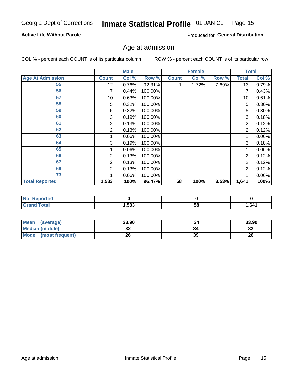#### Inmate Statistical Profile 01-JAN-21 Page 15

### **Active Life Without Parole**

Produced for General Distribution

## Age at admission

COL % - percent each COUNT is of its particular column

|                         |              | <b>Male</b> |         |              | <b>Female</b> |       |              | <b>Total</b> |
|-------------------------|--------------|-------------|---------|--------------|---------------|-------|--------------|--------------|
| <b>Age At Admission</b> | <b>Count</b> | Col %       | Row %   | <b>Count</b> | Col %         | Row % | <b>Total</b> | Col %        |
| 55                      | 12           | 0.76%       | 92.31%  |              | 1.72%         | 7.69% | 13           | 0.79%        |
| 56                      | 7            | 0.44%       | 100.00% |              |               |       | 7            | 0.43%        |
| 57                      | 10           | 0.63%       | 100.00% |              |               |       | 10           | 0.61%        |
| 58                      | 5            | 0.32%       | 100.00% |              |               |       | 5            | 0.30%        |
| 59                      | 5            | 0.32%       | 100.00% |              |               |       | 5            | 0.30%        |
| 60                      | 3            | 0.19%       | 100.00% |              |               |       | 3            | 0.18%        |
| 61                      | 2            | 0.13%       | 100.00% |              |               |       | 2            | 0.12%        |
| 62                      | 2            | 0.13%       | 100.00% |              |               |       | 2            | 0.12%        |
| 63                      |              | 0.06%       | 100.00% |              |               |       |              | 0.06%        |
| 64                      | 3            | 0.19%       | 100.00% |              |               |       | 3            | 0.18%        |
| 65                      |              | 0.06%       | 100.00% |              |               |       |              | 0.06%        |
| 66                      | 2            | 0.13%       | 100.00% |              |               |       | 2            | 0.12%        |
| 67                      | 2            | 0.13%       | 100.00% |              |               |       | 2            | 0.12%        |
| 69                      | 2            | 0.13%       | 100.00% |              |               |       | 2            | 0.12%        |
| 73                      |              | 0.06%       | 100.00% |              |               |       |              | 0.06%        |
| <b>Total Reported</b>   | 1,583        | 100%        | 96.47%  | 58           | 100%          | 3.53% | 1,641        | 100%         |

| <b>Not Reported</b> |      |    |      |
|---------------------|------|----|------|
| <b>Total</b>        | ,583 | Эō | 641, |

| <b>Mean</b><br>(average) | 33.90   | 34 | 33.90   |
|--------------------------|---------|----|---------|
| <b>Median (middle)</b>   | ົ<br>JZ |    | …<br>34 |
| Mode<br>(most frequent)  | 26      | 39 | 26      |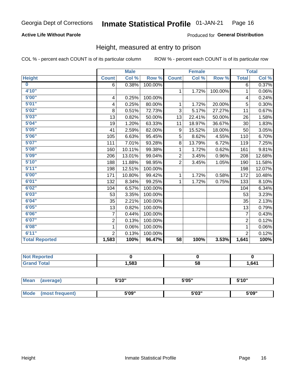### **Active Life Without Parole**

### Produced for General Distribution

### Height, measured at entry to prison

COL % - percent each COUNT is of its particular column

|                         |                | <b>Male</b> |         |                | <b>Female</b> |         |                | <b>Total</b> |
|-------------------------|----------------|-------------|---------|----------------|---------------|---------|----------------|--------------|
| <b>Height</b>           | <b>Count</b>   | Col %       | Row %   | <b>Count</b>   | Col %         | Row %   | <b>Total</b>   | Col %        |
| $\overline{\mathbf{0}}$ | 6              | 0.38%       | 100.00% |                |               |         | 6              | 0.37%        |
| 4'10"                   |                |             |         | $\mathbf{1}$   | 1.72%         | 100.00% | 1              | 0.06%        |
| 5'00''                  | 4              | 0.25%       | 100.00% |                |               |         | 4              | 0.24%        |
| 5'01"                   | 4              | 0.25%       | 80.00%  | 1              | 1.72%         | 20.00%  | 5              | 0.30%        |
| 5'02"                   | 8              | 0.51%       | 72.73%  | 3              | 5.17%         | 27.27%  | 11             | 0.67%        |
| 5'03''                  | 13             | 0.82%       | 50.00%  | 13             | 22.41%        | 50.00%  | 26             | 1.58%        |
| 5'04"                   | 19             | 1.20%       | 63.33%  | 11             | 18.97%        | 36.67%  | 30             | 1.83%        |
| 5'05"                   | 41             | 2.59%       | 82.00%  | 9              | 15.52%        | 18.00%  | 50             | 3.05%        |
| 5'06''                  | 105            | 6.63%       | 95.45%  | 5              | 8.62%         | 4.55%   | 110            | 6.70%        |
| 5'07''                  | 111            | 7.01%       | 93.28%  | 8              | 13.79%        | 6.72%   | 119            | 7.25%        |
| 5'08''                  | 160            | 10.11%      | 99.38%  | 1              | 1.72%         | 0.62%   | 161            | 9.81%        |
| 5'09''                  | 206            | 13.01%      | 99.04%  | $\overline{2}$ | 3.45%         | 0.96%   | 208            | 12.68%       |
| 5'10''                  | 188            | 11.88%      | 98.95%  | $\overline{2}$ | 3.45%         | 1.05%   | 190            | 11.58%       |
| 5'11''                  | 198            | 12.51%      | 100.00% |                |               |         | 198            | 12.07%       |
| 6'00''                  | 171            | 10.80%      | 99.42%  | $\mathbf{1}$   | 1.72%         | 0.58%   | 172            | 10.48%       |
| 6'01''                  | 132            | 8.34%       | 99.25%  | 1              | 1.72%         | 0.75%   | 133            | 8.10%        |
| 6'02"                   | 104            | 6.57%       | 100.00% |                |               |         | 104            | 6.34%        |
| 6'03''                  | 53             | 3.35%       | 100.00% |                |               |         | 53             | 3.23%        |
| 6'04"                   | 35             | 2.21%       | 100.00% |                |               |         | 35             | 2.13%        |
| 6'05"                   | 13             | 0.82%       | 100.00% |                |               |         | 13             | 0.79%        |
| 6'06''                  | 7              | 0.44%       | 100.00% |                |               |         | $\overline{7}$ | 0.43%        |
| 6'07''                  | $\overline{2}$ | 0.13%       | 100.00% |                |               |         | $\overline{2}$ | 0.12%        |
| 6'08''                  | 1              | 0.06%       | 100.00% |                |               |         | 1              | 0.06%        |
| 6'11''                  | $\overline{2}$ | 0.13%       | 100.00% |                |               |         | $\overline{2}$ | 0.12%        |
| <b>Total Reported</b>   | 1,583          | 100%        | 96.47%  | 58             | 100%          | 3.53%   | 1,641          | 100%         |

| <b>eported</b><br>NOT<br>$\sim$ $\sim$ $\sim$ $\sim$ |      |    |      |
|------------------------------------------------------|------|----|------|
| `ota⊾                                                | 583, | 58 | 641. |

| <b>Mean</b> | (average)       | 5'10" | 5'05"                | 5'10"<br>ັ |  |
|-------------|-----------------|-------|----------------------|------------|--|
|             |                 |       |                      |            |  |
| <b>Mode</b> | (most frequent) | 5'09" | <b>E'OO"</b><br>ว บง | 5'09"      |  |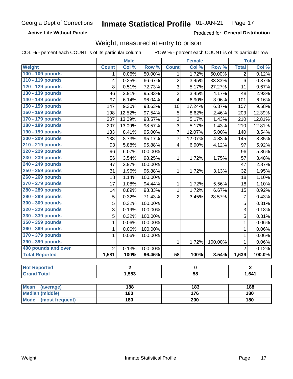**Active Life Without Parole** 

Produced for General Distribution

## Weight, measured at entry to prison

COL % - percent each COUNT is of its particular column

ROW % - percent each COUNT is of its particular row

|                          |                | <b>Male</b>    |         |                         | <b>Female</b>    |         |                | <b>Total</b>   |  |
|--------------------------|----------------|----------------|---------|-------------------------|------------------|---------|----------------|----------------|--|
| Weight                   | <b>Count</b>   | Col %          | Row %   | <b>Count</b>            | Col %            | Row %   | <b>Total</b>   | Col %          |  |
| 100 - 109 pounds         | 1              | 0.06%          | 50.00%  | 1                       | 1.72%            | 50.00%  | $\overline{2}$ | 0.12%          |  |
| 110 - 119 pounds         | 4              | 0.25%          | 66.67%  | $\overline{c}$          | 3.45%            | 33.33%  | 6              | 0.37%          |  |
| 120 - 129 pounds         | 8              | 0.51%          | 72.73%  | $\overline{3}$          | 5.17%            | 27.27%  | 11             | 0.67%          |  |
| 130 - 139 pounds         | 46             | 2.91%          | 95.83%  | $\overline{2}$          | 3.45%            | 4.17%   | 48             | 2.93%          |  |
| 140 - 149 pounds         | 97             | 6.14%          | 96.04%  | 4                       | 6.90%            | 3.96%   | 101            | 6.16%          |  |
| 150 - 159 pounds         | 147            | 9.30%          | 93.63%  | 10                      | 17.24%           | 6.37%   | 157            | 9.58%          |  |
| 160 - 169 pounds         | 198            | 12.52%         | 97.54%  | 5                       | 8.62%            | 2.46%   | 203            | 12.39%         |  |
| 170 - 179 pounds         | 207            | 13.09%         | 98.57%  | 3                       | 5.17%            | 1.43%   | 210            | 12.81%         |  |
| 180 - 189 pounds         | 207            | 13.09%         | 98.57%  | 3                       | 5.17%            | 1.43%   | 210            | 12.81%         |  |
| 190 - 199 pounds         | 133            | 8.41%          | 95.00%  | $\overline{7}$          | 12.07%           | 5.00%   | 140            | 8.54%          |  |
| 200 - 209 pounds         | 138            | 8.73%          | 95.17%  | 7                       | 12.07%           | 4.83%   | 145            | 8.85%          |  |
| 210 - 219 pounds         | 93             | 5.88%          | 95.88%  | 4                       | 6.90%            | 4.12%   | 97             | 5.92%          |  |
| 220 - 229 pounds         | 96             | 6.07%          | 100.00% |                         |                  |         | 96             | 5.86%          |  |
| 230 - 239 pounds         | 56             | 3.54%          | 98.25%  | 1                       | 1.72%            | 1.75%   | 57             | 3.48%          |  |
| 240 - 249 pounds         | 47             | 2.97%          | 100.00% |                         |                  |         | 47             | 2.87%          |  |
| 250 - 259 pounds         | 31             | 1.96%          | 96.88%  | 1                       | 1.72%            | 3.13%   | 32             | 1.95%          |  |
| 260 - 269 pounds         | 18             | 1.14%          | 100.00% |                         |                  |         | 18             | 1.10%          |  |
| 270 - 279 pounds         | 17             | 1.08%          | 94.44%  | $\mathbf{1}$            | 1.72%            | 5.56%   | 18             | 1.10%          |  |
| 280 - 289 pounds         | 14             | 0.89%          | 93.33%  | $\mathbf{1}$            | 1.72%            | 6.67%   | 15             | 0.92%          |  |
| 290 - 299 pounds         | $\overline{5}$ | 0.32%          | 71.43%  | $\overline{2}$          | 3.45%            | 28.57%  | $\overline{7}$ | 0.43%          |  |
| 300 - 309 pounds         | 5              | 0.32%          | 100.00% |                         |                  |         | 5              | 0.31%          |  |
| 320 - 329 pounds         | $\overline{3}$ | 0.19%          | 100.00% |                         |                  |         | 3              | 0.18%          |  |
| 330 - 339 pounds         | 5              | 0.32%          | 100.00% |                         |                  |         | 5              | 0.31%          |  |
| 350 - 359 pounds         | $\mathbf 1$    | 0.06%          | 100.00% |                         |                  |         | $\mathbf{1}$   | 0.06%          |  |
| 360 - 369 pounds         | 1              | 0.06%          | 100.00% |                         |                  |         | $\mathbf{1}$   | 0.06%          |  |
| 370 - 379 pounds         | 1              | 0.06%          | 100.00% |                         |                  |         | $\mathbf{1}$   | 0.06%          |  |
| 390 - 399 pounds         |                |                |         | $\mathbf{1}$            | 1.72%            | 100.00% | $\mathbf{1}$   | 0.06%          |  |
| 400 pounds and over      | $\overline{2}$ | 0.13%          | 100.00% |                         |                  |         | $\overline{2}$ | 0.12%          |  |
| <b>Total Reported</b>    | 1,581          | 100%           | 96.46%  | $\overline{58}$         | 100%             | 3.54%   | 1,639          | 100.0%         |  |
|                          |                |                |         |                         |                  |         |                |                |  |
| <b>Not Reported</b>      |                | $\overline{2}$ |         | $\overline{\mathbf{0}}$ |                  |         |                | $\overline{2}$ |  |
| <b>Grand Total</b>       |                | 1,583          |         | 58                      |                  |         | 1,641          |                |  |
|                          |                |                |         |                         |                  |         |                |                |  |
| <b>Mean</b><br>(average) |                | 188            |         |                         | $\overline{183}$ |         |                | <b>188</b>     |  |
| <b>Median (middle)</b>   |                | <b>180</b>     |         |                         | 176              |         |                | 180            |  |

**Mode** 

(most frequent)

 $\overline{200}$ 

 $\overline{180}$ 

 $180$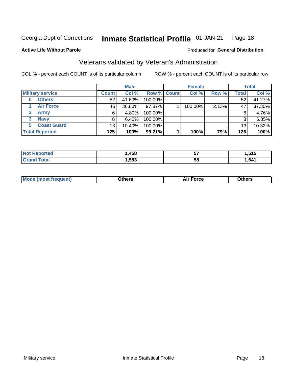#### **Inmate Statistical Profile 01-JAN-21** Page 18

#### **Active Life Without Parole**

#### Produced for General Distribution

## Veterans validated by Veteran's Administration

COL % - percent each COUNT is of its particular column

|                          |                 | <b>Male</b> |             | <b>Female</b> |       |              | <b>Total</b> |
|--------------------------|-----------------|-------------|-------------|---------------|-------|--------------|--------------|
| <b>Military service</b>  | <b>Count</b>    | Col %       | Row % Count | Col %         | Row % | <b>Total</b> | Col %        |
| <b>Others</b><br>0       | 52              | 41.60%      | 100.00%     |               |       | 52           | 41.27%       |
| <b>Air Force</b>         | 46              | 36.80%      | 97.87%      | 100.00%       | 2.13% | 47           | 37.30%       |
| <b>Army</b>              | 6               | 4.80%       | 100.00%     |               |       | 6            | 4.76%        |
| <b>Navy</b><br>3         |                 | $6.40\%$    | 100.00%     |               |       | 8            | 6.35%        |
| <b>Coast Guard</b><br>5. | 13 <sub>1</sub> | 10.40%      | 100.00%     |               |       | 13           | 10.32%       |
| <b>Total Reported</b>    | 125             | 100%        | 99.21%      | 100%          | .79%  | 126          | 100%         |

| TA.    | .458 | --<br>JI. | ---  |
|--------|------|-----------|------|
| $\sim$ | .583 | 5٤        | .641 |

| <b>Moo.</b> |
|-------------|
|-------------|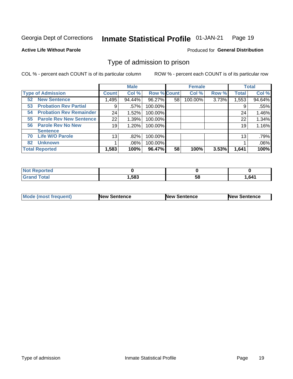#### Inmate Statistical Profile 01-JAN-21 Page 19

**Active Life Without Parole** 

**Produced for General Distribution** 

## Type of admission to prison

COL % - percent each COUNT is of its particular column

|                                      |                 | <b>Male</b> |                    |    | <b>Female</b> |       |              | <b>Total</b> |
|--------------------------------------|-----------------|-------------|--------------------|----|---------------|-------|--------------|--------------|
| <b>Type of Admission</b>             | <b>Count</b>    | Col %       | <b>Row % Count</b> |    | Col %         | Row % | <b>Total</b> | Col %        |
| <b>New Sentence</b><br>52            | 1,495           | 94.44%      | 96.27%             | 58 | 100.00%       | 3.73% | 1,553        | 94.64%       |
| <b>Probation Rev Partial</b><br>53   | 9               | .57%        | 100.00%            |    |               |       | 9            | .55%         |
| <b>Probation Rev Remainder</b><br>54 | 24              | 1.52%       | 100.00%            |    |               |       | 24           | 1.46%        |
| <b>Parole Rev New Sentence</b><br>55 | 22              | 1.39%       | 100.00%            |    |               |       | 22           | 1.34%        |
| <b>Parole Rev No New</b><br>56       | 19              | 1.20%       | 100.00%            |    |               |       | 19           | 1.16%        |
| <b>Sentence</b>                      |                 |             |                    |    |               |       |              |              |
| <b>Life W/O Parole</b><br>70         | 13 <sub>1</sub> | .82%        | 100.00%            |    |               |       | 13           | .79%         |
| <b>Unknown</b><br>82                 |                 | $.06\%$     | 100.00%            |    |               |       |              | .06%         |
| <b>Total Reported</b>                | 1,583           | 100%        | 96.47%             | 58 | 100%          | 3.53% | 1,641        | 100%         |

| Reported<br><b>NOT</b>      |       |           |       |
|-----------------------------|-------|-----------|-------|
| <b>Total</b><br><b>Gran</b> | .,583 | - -<br>วง | 1,641 |

| Mode (most frequent) | <b>New Sentence</b> | <b>New Sentence</b> | <b>New Sentence</b> |
|----------------------|---------------------|---------------------|---------------------|
|                      |                     |                     |                     |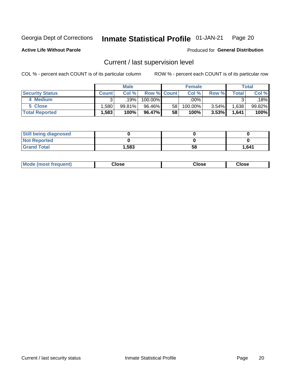#### Inmate Statistical Profile 01-JAN-21 Page 20

**Active Life Without Parole** 

Produced for General Distribution

## Current / last supervision level

COL % - percent each COUNT is of its particular column

|                        |                   | <b>Male</b> |                    |    | <b>Female</b> |          |         | <b>Total</b> |
|------------------------|-------------------|-------------|--------------------|----|---------------|----------|---------|--------------|
| <b>Security Status</b> | <b>Count</b>      | Col%        | <b>Row % Count</b> |    | Col %         | Row %    | Total . | Col %        |
| 4 Medium               |                   | 19%         | 100.00%            |    | .00%          |          |         | .18%         |
| 5 Close                | ,580'             | 99.81%      | 96.46%             | 58 | 100.00%       | 3.54%    | .638    | 99.82%       |
| <b>Total Reported</b>  | $.583$ $^{\circ}$ | 100%        | 96.47%             | 58 | 100%          | $3.53\%$ | 1,641   | 100%         |

| <b>Still being diagnosed</b> |       |    |       |
|------------------------------|-------|----|-------|
| <b>Not Reported</b>          |       |    |       |
| <b>Grand Total</b>           | 1,583 | 58 | 1.641 |

| <b>Mode (most frequent)</b> | Close | ∵lose | Close |
|-----------------------------|-------|-------|-------|
|                             |       |       |       |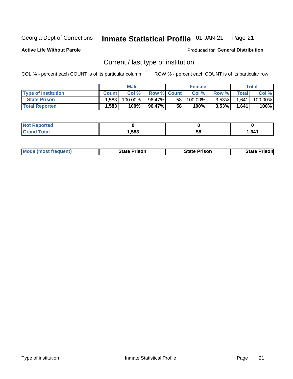#### Inmate Statistical Profile 01-JAN-21 Page 21

**Active Life Without Parole** 

Produced for General Distribution

## Current / last type of institution

COL % - percent each COUNT is of its particular column

|                            |              | <b>Male</b> |                    |                 | <b>Female</b> |          |              | Total   |
|----------------------------|--------------|-------------|--------------------|-----------------|---------------|----------|--------------|---------|
| <b>Type of Institution</b> | <b>Count</b> | Col %       | <b>Row % Count</b> |                 | Col %         | Row %    | <b>Total</b> | Col %   |
| <b>State Prison</b>        | .583         | 100.00%     | 96.47%             | 58 <sub>1</sub> | $100.00\%$    | $3.53\%$ | 1,641        | 100.00% |
| <b>Total Reported</b>      | 1,583        | 100%        | 96.47% I           | 58              | 100%          | $3.53\%$ | 1,641        | 100%    |

| <b>eported</b> |      |    |              |
|----------------|------|----|--------------|
|                | ,583 | ວເ | <b>1.641</b> |

|  | <b>Mode (most frequent)</b> | State Prison | <b>State Prison</b> | <b>State Prison</b> |
|--|-----------------------------|--------------|---------------------|---------------------|
|--|-----------------------------|--------------|---------------------|---------------------|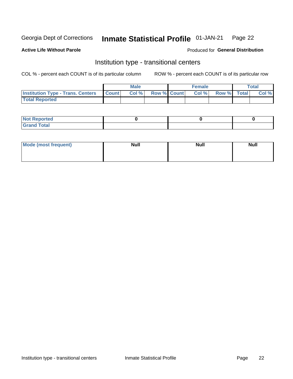#### Inmate Statistical Profile 01-JAN-21 Page 22

#### **Active Life Without Parole**

### Produced for General Distribution

## Institution type - transitional centers

COL % - percent each COUNT is of its particular column

|                                                | Male  |                    | <b>Female</b> |                   | Total |
|------------------------------------------------|-------|--------------------|---------------|-------------------|-------|
| <b>Institution Type - Trans. Centers Count</b> | Col % | <b>Row % Count</b> |               | Col % Row % Total | Col % |
| <b>Total Reported</b>                          |       |                    |               |                   |       |

| <b>Reported</b><br><b>NOT</b><br>$\sim$            |  |  |
|----------------------------------------------------|--|--|
| $f$ $f \circ f \circ f$<br>$C = 1$<br><b>TULAI</b> |  |  |

| Mode (most frequent) | <b>Null</b> | <b>Null</b> | <b>Null</b> |
|----------------------|-------------|-------------|-------------|
|                      |             |             |             |
|                      |             |             |             |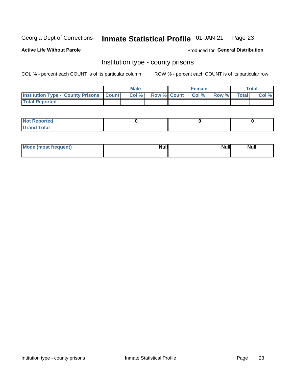#### Inmate Statistical Profile 01-JAN-21 Page 23

**Active Life Without Parole** 

Produced for General Distribution

### Institution type - county prisons

COL % - percent each COUNT is of its particular column

|                                                    | <b>Male</b> |  | <b>Female</b>            |             | <b>Total</b> |
|----------------------------------------------------|-------------|--|--------------------------|-------------|--------------|
| <b>Institution Type - County Prisons   Count  </b> | Col %       |  | <b>Row % Count Col %</b> | Row % Total | Col %        |
| <b>Total Reported</b>                              |             |  |                          |             |              |

| <b>Not Reported</b>   |  |  |
|-----------------------|--|--|
| <b>Total</b><br>Granc |  |  |

| Mode (most frequent) | <b>Null</b> | <b>Null</b><br><b>Null</b> |
|----------------------|-------------|----------------------------|
|                      |             |                            |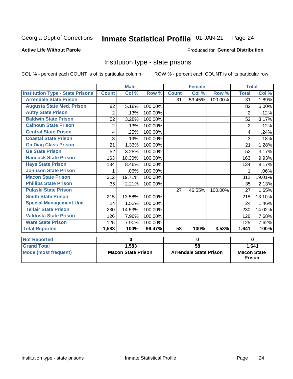#### Inmate Statistical Profile 01-JAN-21 Page 24

#### **Active Life Without Parole**

### Produced for General Distribution

### Institution type - state prisons

|                                         | <b>Male</b>               |          |         |                               | <b>Female</b> |         | <b>Total</b>                                 |        |
|-----------------------------------------|---------------------------|----------|---------|-------------------------------|---------------|---------|----------------------------------------------|--------|
| <b>Institution Type - State Prisons</b> | <b>Count</b>              | Col %    | Row %   | <b>Count</b>                  | Col %         | Row %   | <b>Total</b>                                 | Col %  |
| <b>Arrendale State Prison</b>           |                           |          |         | 31                            | 53.45%        | 100.00% | 31                                           | 1.89%  |
| <b>Augusta State Med. Prison</b>        | 82                        | 5.18%    | 100.00% |                               |               |         | 82                                           | 5.00%  |
| <b>Autry State Prison</b>               | $\overline{2}$            | .13%     | 100.00% |                               |               |         | 2                                            | .12%   |
| <b>Baldwin State Prison</b>             | 52                        | 3.28%    | 100.00% |                               |               |         | 52                                           | 3.17%  |
| <b>Calhoun State Prison</b>             | $\overline{2}$            | .13%     | 100.00% |                               |               |         | $\overline{2}$                               | .12%   |
| <b>Central State Prison</b>             | 4                         | .25%     | 100.00% |                               |               |         | 4                                            | .24%   |
| <b>Coastal State Prison</b>             | 3                         | .19%     | 100.00% |                               |               |         | 3                                            | .18%   |
| <b>Ga Diag Class Prison</b>             | 21                        | 1.33%    | 100.00% |                               |               |         | 21                                           | 1.28%  |
| <b>Ga State Prison</b>                  | 52                        | 3.28%    | 100.00% |                               |               |         | 52                                           | 3.17%  |
| <b>Hancock State Prison</b>             | 163                       | 10.30%   | 100.00% |                               |               |         | 163                                          | 9.93%  |
| <b>Hays State Prison</b>                | 134                       | 8.46%    | 100.00% |                               |               |         | 134                                          | 8.17%  |
| <b>Johnson State Prison</b>             | 1                         | .06%     | 100.00% |                               |               |         |                                              | .06%   |
| <b>Macon State Prison</b>               | 312                       | 19.71%   | 100.00% |                               |               |         | 312                                          | 19.01% |
| <b>Phillips State Prison</b>            | 35                        | 2.21%    | 100.00% |                               |               |         | 35                                           | 2.13%  |
| <b>Pulaski State Prison</b>             |                           |          |         | 27                            | 46.55%        | 100.00% | 27                                           | 1.65%  |
| <b>Smith State Prison</b>               | 215                       | 13.58%   | 100.00% |                               |               |         | 215                                          | 13.10% |
| <b>Special Management Unit</b>          | 24                        | 1.52%    | 100.00% |                               |               |         | 24                                           | 1.46%  |
| <b>Telfair State Prison</b>             | 230                       | 14.53%   | 100.00% |                               |               |         | 230                                          | 14.02% |
| <b>Valdosta State Prison</b>            | 126                       | 7.96%    | 100.00% |                               |               |         | 126                                          | 7.68%  |
| <b>Ware State Prison</b>                | 125                       | 7.90%    | 100.00% |                               |               |         | 125                                          | 7.62%  |
| <b>Total Reported</b>                   | 1,583                     | 100%     | 96.47%  | 58                            | 100%          | 3.53%   | 1,641                                        | 100%   |
| <b>Not Reported</b>                     |                           | $\bf{0}$ |         | $\bf{0}$                      |               |         | 0                                            |        |
| <b>Grand Total</b>                      |                           | 1,583    |         | $\overline{58}$               |               |         |                                              |        |
| <b>Mode (most frequent)</b>             | <b>Macon State Prison</b> |          |         | <b>Arrendale State Prison</b> |               |         | 1,641<br><b>Macon State</b><br><b>Prison</b> |        |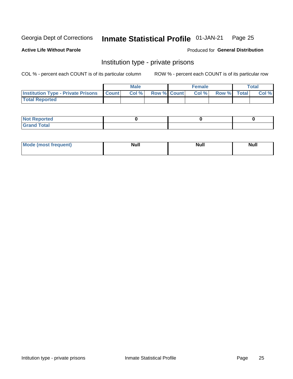#### Inmate Statistical Profile 01-JAN-21 Page 25

**Active Life Without Parole** 

Produced for General Distribution

## Institution type - private prisons

COL % - percent each COUNT is of its particular column

|                                                     | <b>Male</b> |      |                    | <b>Female</b> |       |             | Total |       |
|-----------------------------------------------------|-------------|------|--------------------|---------------|-------|-------------|-------|-------|
| <b>Institution Type - Private Prisons   Count  </b> |             | Col% | <b>Row % Count</b> |               | Col % | Row % Total |       | Col % |
| <b>Total Reported</b>                               |             |      |                    |               |       |             |       |       |

| Reported<br>I NOT<br>$\sim$ |  |  |
|-----------------------------|--|--|
| <b>c</b> otal<br>.          |  |  |

| <b>Mo</b><br>frequent) | <b>Null</b> | <b>Null</b> | . . I *<br><b>IVUII</b> |
|------------------------|-------------|-------------|-------------------------|
|                        |             |             |                         |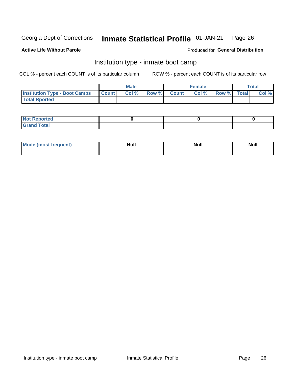#### Inmate Statistical Profile 01-JAN-21 Page 26

### **Active Life Without Parole**

### Produced for General Distribution

## Institution type - inmate boot camp

COL % - percent each COUNT is of its particular column

|                                            | <b>Male</b> |       |  |             | <b>Female</b> | <b>Total</b> |  |       |
|--------------------------------------------|-------------|-------|--|-------------|---------------|--------------|--|-------|
| <b>Institution Type - Boot Camps Count</b> |             | Col % |  | Row % Count | Col %         | Row % Total  |  | Col % |
| <b>Total Rported</b>                       |             |       |  |             |               |              |  |       |

| <b>Not Reported</b>            |  |  |
|--------------------------------|--|--|
| <b>Total</b><br>C <sub>r</sub> |  |  |

| Mod<br>uamo | Nul.<br>$- - - - - -$ | <b>Null</b> | . .<br>uu.<br>------ |
|-------------|-----------------------|-------------|----------------------|
|             |                       |             |                      |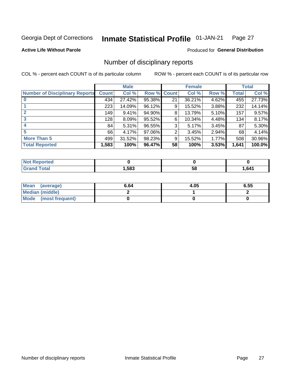#### Inmate Statistical Profile 01-JAN-21 Page 27

**Active Life Without Parole** 

Produced for General Distribution

## Number of disciplinary reports

COL % - percent each COUNT is of its particular column

|                                       | <b>Male</b>  |        |             |                | <b>Female</b> | <b>Total</b> |       |        |
|---------------------------------------|--------------|--------|-------------|----------------|---------------|--------------|-------|--------|
| <b>Number of Disciplinary Reports</b> | <b>Count</b> | Col %  | Row % Count |                | Col %         | Row %        | Total | Col %  |
|                                       | 434          | 27.42% | 95.38%      | 21             | 36.21%        | 4.62%        | 455   | 27.73% |
|                                       | 223          | 14.09% | 96.12%      | 9              | 15.52%        | 3.88%        | 232   | 14.14% |
|                                       | 149          | 9.41%  | 94.90%      | 8              | 13.79%        | 5.10%        | 157   | 9.57%  |
|                                       | 128          | 8.09%  | 95.52%      | 6              | 10.34%        | 4.48%        | 134   | 8.17%  |
| 4                                     | 84           | 5.31%  | 96.55%      | 3              | 5.17%         | 3.45%        | 87    | 5.30%  |
|                                       | 66           | 4.17%  | 97.06%      | $\overline{2}$ | 3.45%         | 2.94%        | 68    | 4.14%  |
| <b>More Than 5</b>                    | 499          | 31.52% | 98.23%      | 9              | 15.52%        | 1.77%        | 508   | 30.96% |
| <b>Total Reported</b>                 | 1,583        | 100%   | 96.47%      | 58             | 100%          | 3.53%        | 1,641 | 100.0% |

| NO<br>тес |      |    |      |
|-----------|------|----|------|
| Гоtal     | ,583 | Ⴢჾ | ,641 |

| Mean (average)       | 6.64 | 4.05 | 6.55 |
|----------------------|------|------|------|
| Median (middle)      |      |      |      |
| Mode (most frequent) |      |      |      |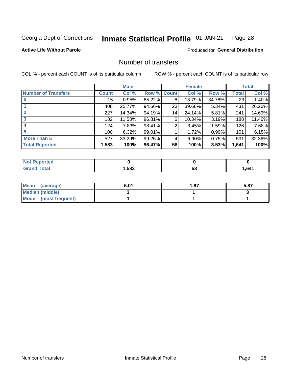#### Inmate Statistical Profile 01-JAN-21 Page 28

### **Active Life Without Parole**

### **Produced for General Distribution**

## Number of transfers

COL % - percent each COUNT is of its particular column

|                            | <b>Male</b> |        | <b>Female</b> |              |        | <b>Total</b> |              |        |
|----------------------------|-------------|--------|---------------|--------------|--------|--------------|--------------|--------|
| <b>Number of Transfers</b> | Count l     | Col %  | Row %         | <b>Count</b> | Col %  | Row %        | <b>Total</b> | Col %  |
|                            | 15          | 0.95%  | 65.22%        | 8            | 13.79% | 34.78%       | 23           | 1.40%  |
|                            | 408         | 25.77% | 94.66%        | 23           | 39.66% | 5.34%        | 431          | 26.26% |
| $\mathbf{2}$               | 227         | 14.34% | 94.19%        | 14           | 24.14% | 5.81%        | 241          | 14.69% |
| 3                          | 182         | 11.50% | 96.81%        | 6            | 10.34% | $3.19\%$     | 188          | 11.46% |
|                            | 124         | 7.83%  | 98.41%        | 2            | 3.45%  | 1.59%        | 126          | 7.68%  |
| 5                          | 100         | 6.32%  | 99.01%        |              | 1.72%  | 0.99%        | 101          | 6.15%  |
| <b>More Than 5</b>         | 527         | 33.29% | 99.25%        | 4            | 6.90%  | 0.75%        | 531          | 32.36% |
| <b>Total Reported</b>      | 1,583       | 100%   | 96.47%        | 58           | 100%   | 3.53%        | 1,641        | 100%   |

| NO<br>тес |      |    |      |
|-----------|------|----|------|
| Гоtal     | ,583 | Ⴢჾ | ,641 |

| Mean (average)       | 6.01 | 97. ، | 5.87 |
|----------------------|------|-------|------|
| Median (middle)      |      |       |      |
| Mode (most frequent) |      |       |      |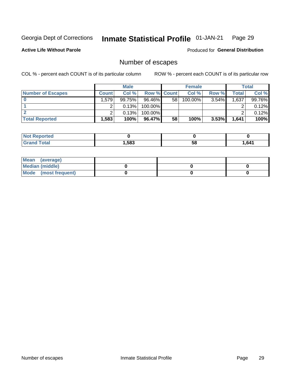#### Inmate Statistical Profile 01-JAN-21 Page 29

#### **Active Life Without Parole**

**Produced for General Distribution** 

## Number of escapes

COL % - percent each COUNT is of its particular column

|                          | <b>Male</b>  |        |                    | <b>Female</b> |            |          | Total |        |
|--------------------------|--------------|--------|--------------------|---------------|------------|----------|-------|--------|
| <b>Number of Escapes</b> | <b>Count</b> | Col%   | <b>Row % Count</b> |               | Col %      | Row %    | Total | Col %  |
|                          | .579         | 99.75% | 96.46%             | 58            | $100.00\%$ | $3.54\%$ | 1,637 | 99.76% |
|                          |              | 0.13%  | 100.00%            |               |            |          |       | 0.12%  |
|                          |              | 0.13%  | 100.00%            |               |            |          |       | 0.12%  |
| <b>Total Reported</b>    | $.583+$      | 100%   | 96.47%             | 58            | 100%       | 3.53%    | 1,641 | 100%   |

| Reported<br>NOT |      |    |       |
|-----------------|------|----|-------|
| ™otal           | .583 | 58 | 1.641 |

| Mean (average)       |  |  |
|----------------------|--|--|
| Median (middle)      |  |  |
| Mode (most frequent) |  |  |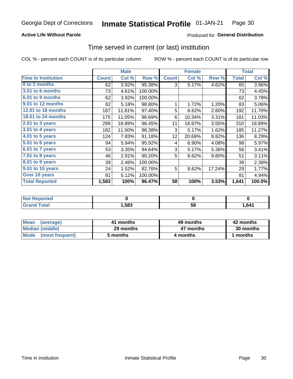### **Active Life Without Parole**

### Produced for General Distribution

### Time served in current (or last) institution

COL % - percent each COUNT is of its particular column

|                            |              | <b>Male</b> |         |                 | <b>Female</b> | <b>Total</b> |              |        |
|----------------------------|--------------|-------------|---------|-----------------|---------------|--------------|--------------|--------|
| <b>Time In Institution</b> | <b>Count</b> | Col %       | Row %   | <b>Count</b>    | Col %         | Row %        | <b>Total</b> | Col %  |
| 0 to 3 months              | 62           | 3.92%       | 95.38%  | 3               | 5.17%         | 4.62%        | 65           | 3.96%  |
| <b>3.01 to 6 months</b>    | 73           | 4.61%       | 100.00% |                 |               |              | 73           | 4.45%  |
| 6.01 to 9 months           | 62           | 3.92%       | 100.00% |                 |               |              | 62           | 3.78%  |
| 9.01 to 12 months          | 82           | 5.18%       | 98.80%  | 1               | 1.72%         | 1.20%        | 83           | 5.06%  |
| 12.01 to 18 months         | 187          | 11.81%      | 97.40%  | 5               | 8.62%         | 2.60%        | 192          | 11.70% |
| 18.01 to 24 months         | 175          | 11.05%      | 96.69%  | 6               | 10.34%        | 3.31%        | 181          | 11.03% |
| $2.01$ to 3 years          | 299          | 18.89%      | 96.45%  | 11              | 18.97%        | 3.55%        | 310          | 18.89% |
| 3.01 to 4 years            | 182          | 11.50%      | 98.38%  | 3               | 5.17%         | 1.62%        | 185          | 11.27% |
| 4.01 to 5 years            | 124          | 7.83%       | 91.18%  | 12 <sub>2</sub> | 20.69%        | 8.82%        | 136          | 8.29%  |
| 5.01 to 6 years            | 94           | 5.94%       | 95.92%  | 4               | 6.90%         | 4.08%        | 98           | 5.97%  |
| 6.01 to 7 years            | 53           | 3.35%       | 94.64%  | 3               | 5.17%         | 5.36%        | 56           | 3.41%  |
| 7.01 to 8 years            | 46           | 2.91%       | 90.20%  | 5               | 8.62%         | 9.80%        | 51           | 3.11%  |
| 8.01 to 9 years            | 39           | 2.46%       | 100.00% |                 |               |              | 39           | 2.38%  |
| 9.01 to 10 years           | 24           | 1.52%       | 82.76%  | 5               | 8.62%         | 17.24%       | 29           | 1.77%  |
| Over 10 years              | 81           | 5.12%       | 100.00% |                 |               |              | 81           | 4.94%  |
| <b>Total Reported</b>      | 1,583        | 100%        | 96.47%  | 58              | 100%          | 3.53%        | 1,641        | 100.0% |

| <b>Not Reported</b>  |        |    |      |
|----------------------|--------|----|------|
| <b>Total</b><br>Gran | 583، ، | эō | ,641 |

| <b>Mean</b><br>(average) | 41 months | 49 months | 42 months |  |  |
|--------------------------|-----------|-----------|-----------|--|--|
| Median (middle)          | 29 months | 47 months | 30 months |  |  |
| Mode (most frequent)     | 5 months  | 4 months  | 1 months  |  |  |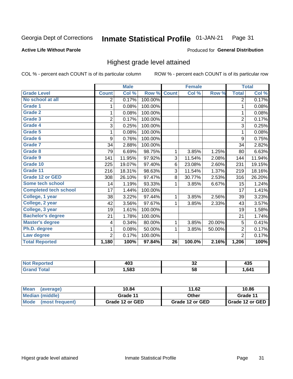#### **Inmate Statistical Profile 01-JAN-21** Page 31

#### **Active Life Without Parole**

#### Produced for General Distribution

## Highest grade level attained

COL % - percent each COUNT is of its particular column

|                              |                | <b>Male</b> |         |                 | <b>Female</b> |        |                | <b>Total</b> |
|------------------------------|----------------|-------------|---------|-----------------|---------------|--------|----------------|--------------|
| <b>Grade Level</b>           | <b>Count</b>   | Col %       | Row %   | <b>Count</b>    | Col %         | Row %  | <b>Total</b>   | Col %        |
| No school at all             | 2              | 0.17%       | 100.00% |                 |               |        | $\overline{2}$ | 0.17%        |
| <b>Grade 1</b>               | 1              | 0.08%       | 100.00% |                 |               |        | 1              | 0.08%        |
| <b>Grade 2</b>               | 1              | 0.08%       | 100.00% |                 |               |        | 1              | 0.08%        |
| <b>Grade 3</b>               | $\overline{2}$ | 0.17%       | 100.00% |                 |               |        | $\overline{2}$ | 0.17%        |
| Grade 4                      | 3              | 0.25%       | 100.00% |                 |               |        | 3              | 0.25%        |
| Grade 5                      | 1              | 0.08%       | 100.00% |                 |               |        | 1              | 0.08%        |
| Grade 6                      | 9              | 0.76%       | 100.00% |                 |               |        | 9              | 0.75%        |
| Grade 7                      | 34             | 2.88%       | 100.00% |                 |               |        | 34             | 2.82%        |
| <b>Grade 8</b>               | 79             | 6.69%       | 98.75%  | 1               | 3.85%         | 1.25%  | 80             | 6.63%        |
| Grade 9                      | 141            | 11.95%      | 97.92%  | 3               | 11.54%        | 2.08%  | 144            | 11.94%       |
| Grade 10                     | 225            | 19.07%      | 97.40%  | 6               | 23.08%        | 2.60%  | 231            | 19.15%       |
| Grade 11                     | 216            | 18.31%      | 98.63%  | 3               | 11.54%        | 1.37%  | 219            | 18.16%       |
| <b>Grade 12 or GED</b>       | 308            | 26.10%      | 97.47%  | 8               | 30.77%        | 2.53%  | 316            | 26.20%       |
| Some tech school             | 14             | 1.19%       | 93.33%  | 1               | 3.85%         | 6.67%  | 15             | 1.24%        |
| <b>Completed tech school</b> | 17             | 1.44%       | 100.00% |                 |               |        | 17             | 1.41%        |
| College, 1 year              | 38             | 3.22%       | 97.44%  | 1               | 3.85%         | 2.56%  | 39             | 3.23%        |
| College, 2 year              | 42             | 3.56%       | 97.67%  | 1               | 3.85%         | 2.33%  | 43             | 3.57%        |
| College, 3 year              | 19             | 1.61%       | 100.00% |                 |               |        | 19             | 1.58%        |
| <b>Bachelor's degree</b>     | 21             | 1.78%       | 100.00% |                 |               |        | 21             | 1.74%        |
| <b>Master's degree</b>       | 4              | 0.34%       | 80.00%  | 1               | 3.85%         | 20.00% | 5              | 0.41%        |
| Ph.D. degree                 | 1              | 0.08%       | 50.00%  | 1               | 3.85%         | 50.00% | $\overline{2}$ | 0.17%        |
| Law degree                   | $\overline{2}$ | 0.17%       | 100.00% |                 |               |        | $\overline{2}$ | 0.17%        |
| <b>Total Reported</b>        | 1,180          | 100%        | 97.84%  | $\overline{26}$ | 100.0%        | 2.16%  | 1,206          | 100%         |

| rted | 100  | ^^  | ---  |
|------|------|-----|------|
| NO   | ヿヷぃ  | ◡▵  | マソー  |
| Utal | ,583 | -58 | 641. |

| Mean<br>(average)       | 10.84           | 11.62           | 10.86           |
|-------------------------|-----------------|-----------------|-----------------|
| <b>Median (middle)</b>  | Grade 11        | Other           | Grade 11        |
| Mode<br>(most frequent) | Grade 12 or GED | Grade 12 or GED | Grade 12 or GED |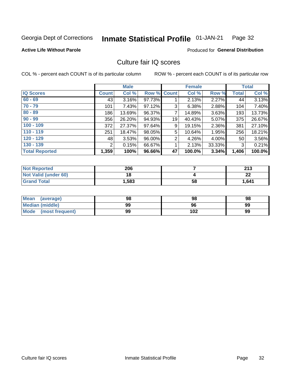#### Inmate Statistical Profile 01-JAN-21 Page 32

### **Active Life Without Parole**

#### **Produced for General Distribution**

## Culture fair IQ scores

COL % - percent each COUNT is of its particular column

|                       |              | <b>Male</b> |                    |                | <b>Female</b> |          |              | <b>Total</b> |
|-----------------------|--------------|-------------|--------------------|----------------|---------------|----------|--------------|--------------|
| <b>IQ Scores</b>      | <b>Count</b> | Col %       | <b>Row % Count</b> |                | Col %         | Row %    | <b>Total</b> | Col %        |
| $60 - 69$             | 43           | 3.16%       | 97.73%             |                | 2.13%         | $2.27\%$ | 44           | 3.13%        |
| $70 - 79$             | 101          | 7.43%       | 97.12%             | 3              | 6.38%         | 2.88%    | 104          | 7.40%        |
| $80 - 89$             | 186          | 13.69%      | 96.37%             | $\overline{7}$ | 14.89%        | 3.63%    | 193          | 13.73%       |
| $90 - 99$             | 356          | 26.20%      | 94.93%             | 19             | 40.43%        | $5.07\%$ | 375          | 26.67%       |
| $100 - 109$           | 372          | 27.37%      | 97.64%             | 9              | 19.15%        | 2.36%    | 381          | 27.10%       |
| $110 - 119$           | 251          | 18.47%      | 98.05%             | 5              | 10.64%        | 1.95%    | 256          | 18.21%       |
| $120 - 129$           | 48           | 3.53%       | 96.00%             | $\overline{2}$ | 4.26%         | $4.00\%$ | 50           | 3.56%        |
| $130 - 139$           | 2            | 0.15%       | 66.67%             | 1              | 2.13%         | 33.33%   | 3            | 0.21%        |
| <b>Total Reported</b> | 1,359        | 100%        | 96.66%             | 47             | 100.0%        | 3.34%    | 1,406        | 100.0%       |

| <b>Not Reported</b>  | 206   |    | つイつ<br>2 I J |
|----------------------|-------|----|--------------|
| Not Valid (under 60) | 18    |    | ົ<br>LL      |
| <b>Grand Total</b>   | 1,583 | 58 | 1,641        |

| <b>Mean</b><br>(average) | 98 | 98  | 98 |
|--------------------------|----|-----|----|
| Median (middle)          | 99 | 96  | 99 |
| Mode (most frequent)     | 99 | 102 | 99 |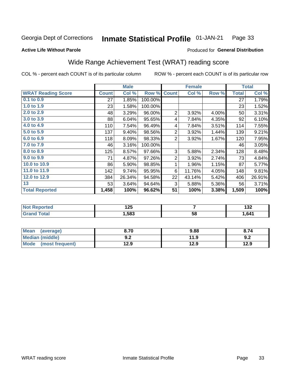#### **Inmate Statistical Profile 01-JAN-21** Page 33

#### **Active Life Without Parole**

### Produced for General Distribution

## Wide Range Achievement Test (WRAT) reading score

COL % - percent each COUNT is of its particular column

| <b>Count</b><br>27<br>23<br>48<br>88 | Col %<br>1.85%<br>1.58%<br>3.29%                                        | Row %<br>100.00%<br>100.00%<br>96.00% | <b>Count</b>   | Col %  | Row % | <b>Total</b><br>27<br>23 | Col %<br>1.79% |
|--------------------------------------|-------------------------------------------------------------------------|---------------------------------------|----------------|--------|-------|--------------------------|----------------|
|                                      |                                                                         |                                       |                |        |       |                          |                |
|                                      |                                                                         |                                       |                |        |       |                          |                |
|                                      |                                                                         |                                       |                |        |       |                          | 1.52%          |
|                                      |                                                                         |                                       | $\overline{2}$ | 3.92%  | 4.00% | 50                       | 3.31%          |
|                                      | 6.04%                                                                   | 95.65%                                | 4              | 7.84%  | 4.35% | 92                       | 6.10%          |
|                                      | 7.54%                                                                   | 96.49%                                | 4              | 7.84%  | 3.51% | 114                      | 7.55%          |
|                                      | 9.40%                                                                   | 98.56%                                | $\overline{2}$ | 3.92%  | 1.44% | 139                      | 9.21%          |
|                                      | 8.09%                                                                   | 98.33%                                | $\overline{2}$ | 3.92%  | 1.67% | 120                      | 7.95%          |
|                                      | 3.16%                                                                   | 100.00%                               |                |        |       | 46                       | 3.05%          |
|                                      | 8.57%                                                                   | 97.66%                                | 3              | 5.88%  | 2.34% | 128                      | 8.48%          |
|                                      | 4.87%                                                                   | 97.26%                                | $\overline{2}$ | 3.92%  | 2.74% | 73                       | 4.84%          |
|                                      | 5.90%                                                                   | 98.85%                                | 1              | 1.96%  | 1.15% | 87                       | 5.77%          |
|                                      | 9.74%                                                                   | 95.95%                                | 6              | 11.76% | 4.05% | 148                      | 9.81%          |
|                                      | 26.34%                                                                  | 94.58%                                | 22             | 43.14% | 5.42% | 406                      | 26.91%         |
|                                      | 3.64%                                                                   | 94.64%                                | 3              | 5.88%  | 5.36% | 56                       | 3.71%          |
|                                      | 100%                                                                    | 96.62%                                | 51             | 100%   | 3.38% | 1,509                    | 100%           |
|                                      | 110<br>137<br>118<br>46<br>125<br>71<br>86<br>142<br>384<br>53<br>1,458 |                                       |                |        |       |                          |                |

| <b>Not Reported</b>    | 1つに<br>12J |    | ,<br>IJZ. |
|------------------------|------------|----|-----------|
| <b>Total</b><br>'Grand | 1,583      | 58 | 1,641     |

| <b>Mean</b><br>(average)       | 8.70         | 9.88 | 8.74 |
|--------------------------------|--------------|------|------|
| <b>Median (middle)</b>         | י ה<br>้ ⊎.∠ | 11.9 | 9.2  |
| <b>Mode</b><br>(most frequent) | 12.9         | 12.9 | 12.9 |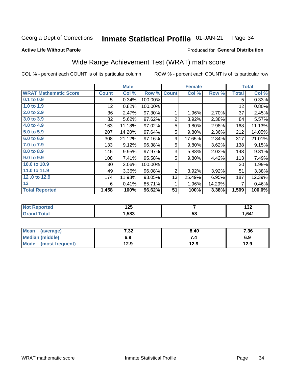#### Inmate Statistical Profile 01-JAN-21 Page 34

#### **Active Life Without Parole**

### Produced for General Distribution

## Wide Range Achievement Test (WRAT) math score

COL % - percent each COUNT is of its particular column

|                              |              | <b>Male</b> |         |                | <b>Female</b> |        |              | <b>Total</b> |
|------------------------------|--------------|-------------|---------|----------------|---------------|--------|--------------|--------------|
| <b>WRAT Mathematic Score</b> | <b>Count</b> | Col %       | Row %   | <b>Count</b>   | Col %         | Row %  | <b>Total</b> | Col %        |
| $0.1$ to $0.9$               | 5            | 0.34%       | 100.00% |                |               |        | 5            | 0.33%        |
| 1.0 to 1.9                   | 12           | 0.82%       | 100.00% |                |               |        | 12           | 0.80%        |
| 2.0 to 2.9                   | 36           | 2.47%       | 97.30%  | 1              | 1.96%         | 2.70%  | 37           | 2.45%        |
| 3.0 to 3.9                   | 82           | 5.62%       | 97.62%  | $\overline{2}$ | 3.92%         | 2.38%  | 84           | 5.57%        |
| 4.0 to 4.9                   | 163          | 11.18%      | 97.02%  | 5              | 9.80%         | 2.98%  | 168          | 11.13%       |
| 5.0 to 5.9                   | 207          | 14.20%      | 97.64%  | 5              | 9.80%         | 2.36%  | 212          | 14.05%       |
| 6.0 to 6.9                   | 308          | 21.12%      | 97.16%  | 9              | 17.65%        | 2.84%  | 317          | 21.01%       |
| 7.0 to 7.9                   | 133          | 9.12%       | 96.38%  | 5              | 9.80%         | 3.62%  | 138          | 9.15%        |
| 8.0 to 8.9                   | 145          | 9.95%       | 97.97%  | 3              | 5.88%         | 2.03%  | 148          | 9.81%        |
| 9.0 to 9.9                   | 108          | 7.41%       | 95.58%  | 5              | 9.80%         | 4.42%  | 113          | 7.49%        |
| 10.0 to 10.9                 | 30           | 2.06%       | 100.00% |                |               |        | 30           | 1.99%        |
| 11.0 to 11.9                 | 49           | 3.36%       | 96.08%  | $\overline{2}$ | 3.92%         | 3.92%  | 51           | 3.38%        |
| 12.0 to 12.9                 | 174          | 11.93%      | 93.05%  | 13             | 25.49%        | 6.95%  | 187          | 12.39%       |
| 13                           | 6            | 0.41%       | 85.71%  | 1              | 1.96%         | 14.29% | 7            | 0.46%        |
| <b>Total Reported</b>        | 1,458        | 100%        | 96.62%  | 51             | 100%          | 3.38%  | 1,509        | 100.0%       |
|                              |              |             |         |                |               |        |              |              |

| <b>Not</b>  | א ה  |    | .    |
|-------------|------|----|------|
| Reported    | ॱ∠J  |    | IJZ. |
| <b>otal</b> | ,583 | 58 | 641  |

| <b>Mean</b><br>(average)       | 7 22<br>7د.∶ | 8.40 | 7.36 |
|--------------------------------|--------------|------|------|
| Median (middle)                | 6.9          |      | 6.9  |
| <b>Mode</b><br>(most frequent) | 12.9         | 12.9 | 12.9 |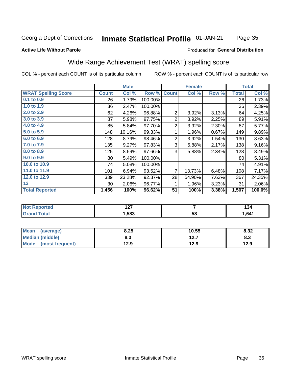#### Inmate Statistical Profile 01-JAN-21 Page 35

### **Active Life Without Parole**

#### **Produced for General Distribution**

## Wide Range Achievement Test (WRAT) spelling score

COL % - percent each COUNT is of its particular column

|                            |              | <b>Male</b> |         |                | <b>Female</b> |       | <b>Total</b> |        |
|----------------------------|--------------|-------------|---------|----------------|---------------|-------|--------------|--------|
| <b>WRAT Spelling Score</b> | <b>Count</b> | Col %       | Row %   | <b>Count</b>   | Col %         | Row % | <b>Total</b> | Col %  |
| $0.1$ to $0.9$             | 26           | 1.79%       | 100.00% |                |               |       | 26           | 1.73%  |
| 1.0 to 1.9                 | 36           | 2.47%       | 100.00% |                |               |       | 36           | 2.39%  |
| 2.0 to 2.9                 | 62           | 4.26%       | 96.88%  | $\overline{2}$ | 3.92%         | 3.13% | 64           | 4.25%  |
| 3.0 to 3.9                 | 87           | 5.98%       | 97.75%  | $\overline{2}$ | 3.92%         | 2.25% | 89           | 5.91%  |
| 4.0 to 4.9                 | 85           | 5.84%       | 97.70%  | $\overline{2}$ | 3.92%         | 2.30% | 87           | 5.77%  |
| 5.0 to 5.9                 | 148          | 10.16%      | 99.33%  | 1              | 1.96%         | 0.67% | 149          | 9.89%  |
| 6.0 to 6.9                 | 128          | 8.79%       | 98.46%  | $\overline{2}$ | 3.92%         | 1.54% | 130          | 8.63%  |
| 7.0 to 7.9                 | 135          | 9.27%       | 97.83%  | 3              | 5.88%         | 2.17% | 138          | 9.16%  |
| 8.0 to 8.9                 | 125          | 8.59%       | 97.66%  | 3              | 5.88%         | 2.34% | 128          | 8.49%  |
| 9.0 to 9.9                 | 80           | 5.49%       | 100.00% |                |               |       | 80           | 5.31%  |
| 10.0 to 10.9               | 74           | 5.08%       | 100.00% |                |               |       | 74           | 4.91%  |
| 11.0 to 11.9               | 101          | 6.94%       | 93.52%  | $\overline{7}$ | 13.73%        | 6.48% | 108          | 7.17%  |
| 12.0 to 12.9               | 339          | 23.28%      | 92.37%  | 28             | 54.90%        | 7.63% | 367          | 24.35% |
| 13                         | 30           | 2.06%       | 96.77%  | 1              | 1.96%         | 3.23% | 31           | 2.06%  |
| <b>Total Reported</b>      | 1,456        | 100%        | 96.62%  | 51             | 100%          | 3.38% | 1,507        | 100.0% |
|                            |              |             |         |                |               |       |              |        |
| <b>Not Reported</b>        |              | 127         |         | $\overline{7}$ |               |       | 134          |        |
| <b>Grand Total</b>         |              | 1,583       |         |                | 58            |       |              | 1,641  |

| <b>Mean</b><br>(average)       | 8.25 | 10.55     | 8.32 |
|--------------------------------|------|-----------|------|
| <b>Median (middle)</b>         | o.J  | 1つ フ<br>. | ი.ა  |
| <b>Mode</b><br>(most frequent) | 12.9 | 12.9      | 12.9 |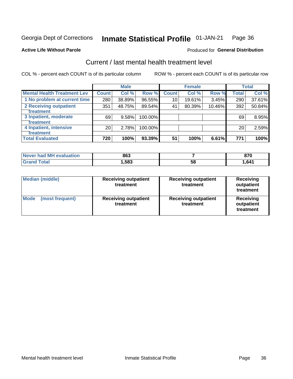#### Inmate Statistical Profile 01-JAN-21 Page 36

#### **Active Life Without Parole**

## **Produced for General Distribution**

## Current / last mental health treatment level

COL % - percent each COUNT is of its particular column

|                                    |                 | <b>Male</b> |         |              | <b>Female</b> |        |              | <b>Total</b> |
|------------------------------------|-----------------|-------------|---------|--------------|---------------|--------|--------------|--------------|
| <b>Mental Health Treatment Lev</b> | <b>Count</b>    | Col %       | Row %   | <b>Count</b> | Col %         | Row %  | <b>Total</b> | Col %        |
| 1 No problem at current time       | 280             | 38.89%      | 96.55%  | 10           | 19.61%        | 3.45%  | 290          | 37.61%       |
| 2 Receiving outpatient             | 351             | 48.75%      | 89.54%  | 41           | 80.39%        | 10.46% | 392          | 50.84%       |
| Treatment                          |                 |             |         |              |               |        |              |              |
| 3 Inpatient, moderate              | 69              | 9.58%       | 100.00% |              |               |        | 69           | 8.95%        |
| <b>Treatment</b>                   |                 |             |         |              |               |        |              |              |
| 4 Inpatient, intensive             | 20 <sub>1</sub> | 2.78%       | 100.00% |              |               |        | 20           | 2.59%        |
| Treatment                          |                 |             |         |              |               |        |              |              |
| <b>Total Evaluated</b>             | 720             | 100%        | 93.39%  | 51           | 100%          | 6.61%  | 771          | 100%         |

| Never had MH evaluation | 863  |    | 070<br>0 I L |
|-------------------------|------|----|--------------|
| Total                   | ,583 | 58 | 641.ا        |

| <b>Median (middle)</b>         | <b>Receiving outpatient</b><br>treatment | <b>Receiving outpatient</b><br>treatment | <b>Receiving</b><br>outpatient<br>treatment |  |
|--------------------------------|------------------------------------------|------------------------------------------|---------------------------------------------|--|
| <b>Mode</b><br>(most frequent) | <b>Receiving outpatient</b><br>treatment | <b>Receiving outpatient</b><br>treatment | <b>Receiving</b><br>outpatient<br>treatment |  |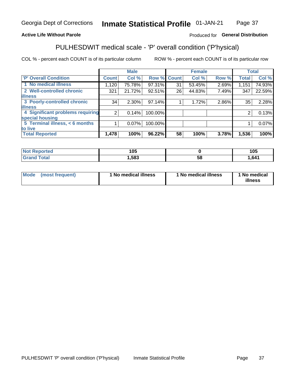#### **Inmate Statistical Profile 01-JAN-21** Page 37

### **Active Life Without Parole**

### Produced for General Distribution

## PULHESDWIT medical scale - 'P' overall condition ('P'hysical)

COL % - percent each COUNT is of its particular column

|                                  |                | <b>Male</b> |             |    | <b>Female</b> |       |              | <b>Total</b> |
|----------------------------------|----------------|-------------|-------------|----|---------------|-------|--------------|--------------|
| 'P' Overall Condition            | <b>Count</b>   | Col %       | Row % Count |    | Col %         | Row % | <b>Total</b> | Col %        |
| 1 No medical illness             | 1,120          | 75.78%      | 97.31%      | 31 | 53.45%        | 2.69% | 1,151        | 74.93%       |
| 2 Well-controlled chronic        | 321            | 21.72%      | 92.51%      | 26 | 44.83%        | 7.49% | 347          | 22.59%       |
| <b>illness</b>                   |                |             |             |    |               |       |              |              |
| 3 Poorly-controlled chronic      | 34             | $2.30\%$    | 97.14%      |    | 1.72%         | 2.86% | 35           | 2.28%        |
| <b>illness</b>                   |                |             |             |    |               |       |              |              |
| 4 Significant problems requiring | 2 <sub>1</sub> | 0.14%       | 100.00%     |    |               |       | 2            | 0.13%        |
| special housing                  |                |             |             |    |               |       |              |              |
| 5 Terminal illness, < 6 months   |                | 0.07%       | 100.00%     |    |               |       |              | 0.07%        |
| to live                          |                |             |             |    |               |       |              |              |
| <b>Total Reported</b>            | 1,478          | 100%        | 96.22%      | 58 | 100%          | 3.78% | 1,536        | 100%         |

| тео<br> | 105  |   | ィハド<br>טו |
|---------|------|---|-----------|
| _____   | ,583 | ວ | 641,ا     |

|  |  | Mode (most frequent) | 1 No medical illness | 1 No medical illness | 1 No medical<br>illness |
|--|--|----------------------|----------------------|----------------------|-------------------------|
|--|--|----------------------|----------------------|----------------------|-------------------------|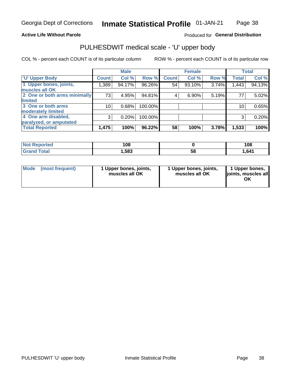### **Active Life Without Parole**

### Produced for General Distribution

## PULHESDWIT medical scale - 'U' upper body

COL % - percent each COUNT is of its particular column

|                              |              | <b>Male</b> |         |              | <b>Female</b> |       |              | <b>Total</b> |
|------------------------------|--------------|-------------|---------|--------------|---------------|-------|--------------|--------------|
| <b>'U' Upper Body</b>        | <b>Count</b> | Col %       | Row %   | <b>Count</b> | Col %         | Row % | <b>Total</b> | Col %        |
| 1 Upper bones, joints,       | 1,389        | 94.17%      | 96.26%  | 54           | 93.10%        | 3.74% | 1,443        | 94.13%       |
| muscles all OK               |              |             |         |              |               |       |              |              |
| 2 One or both arms minimally | 73           | 4.95%       | 94.81%  | 4            | 6.90%         | 5.19% | 77           | 5.02%        |
| limited                      |              |             |         |              |               |       |              |              |
| 3 One or both arms           | 10           | 0.68%       | 100.00% |              |               |       | 10           | 0.65%        |
| <b>moderately limited</b>    |              |             |         |              |               |       |              |              |
| 4 One arm disabled,          | 3            | 0.20%       | 100.00% |              |               |       | 3            | 0.20%        |
| paralyzed, or amputated      |              |             |         |              |               |       |              |              |
| <b>Total Reported</b>        | 1,475        | 100%        | 96.22%  | 58           | 100%          | 3.78% | 1,533        | 100%         |

| <b>Not Reported</b> | 108  |    | 108    |
|---------------------|------|----|--------|
| <b>Grand Total</b>  | ,583 | 58 | 641. ا |

| <b>Mode</b> | (most frequent) | l Upper bones, joints,<br>muscles all OK | 1 Upper bones, joints,<br>muscles all OK | 1 Upper bones,<br>ljoints, muscles all |
|-------------|-----------------|------------------------------------------|------------------------------------------|----------------------------------------|
|-------------|-----------------|------------------------------------------|------------------------------------------|----------------------------------------|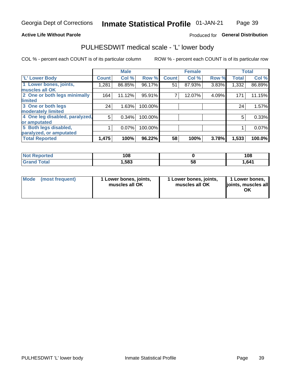### **Active Life Without Parole**

### Produced for General Distribution

## PULHESDWIT medical scale - 'L' lower body

COL % - percent each COUNT is of its particular column

|                                |              | <b>Male</b> |         |              | <b>Female</b> |       |              | <b>Total</b> |
|--------------------------------|--------------|-------------|---------|--------------|---------------|-------|--------------|--------------|
| 'L' Lower Body                 | <b>Count</b> | Col %       | Row %   | <b>Count</b> | Col %         | Row % | <b>Total</b> | Col %        |
| 1 Lower bones, joints,         | 1,281        | 86.85%      | 96.17%  | 51           | 87.93%        | 3.83% | 1,332        | 86.89%       |
| muscles all OK                 |              |             |         |              |               |       |              |              |
| 2 One or both legs minimally   | 164          | 11.12%      | 95.91%  |              | 12.07%        | 4.09% | 171          | 11.15%       |
| limited                        |              |             |         |              |               |       |              |              |
| 3 One or both legs             | 24           | 1.63%       | 100.00% |              |               |       | 24           | 1.57%        |
| moderately limited             |              |             |         |              |               |       |              |              |
| 4 One leg disabled, paralyzed, | 5            | 0.34%       | 100.00% |              |               |       | 5            | 0.33%        |
| or amputated                   |              |             |         |              |               |       |              |              |
| 5 Both legs disabled,          |              | 0.07%       | 100.00% |              |               |       |              | 0.07%        |
| paralyzed, or amputated        |              |             |         |              |               |       |              |              |
| <b>Total Reported</b>          | 1,475        | 100%        | 96.22%  | 58           | 100%          | 3.78% | 1,533        | 100.0%       |

| <b>Not Reported</b> | 108  |    | 108   |
|---------------------|------|----|-------|
| <b>Grand Total</b>  | ,583 | ხშ | 1,641 |

| Mode (most frequent) | I Lower bones, joints,<br>muscles all OK | 1 Lower bones, joints,<br>muscles all OK | 1 Lower bones,<br>joints, muscles all<br>ΟK |
|----------------------|------------------------------------------|------------------------------------------|---------------------------------------------|
|----------------------|------------------------------------------|------------------------------------------|---------------------------------------------|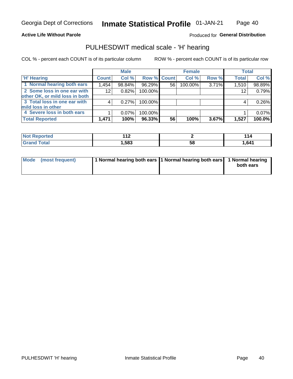Page 40

### **Active Life Without Parole**

Produced for General Distribution

## PULHESDWIT medical scale - 'H' hearing

COL % - percent each COUNT is of its particular column

|                                |              | <b>Male</b> |                    |    | <b>Female</b> |       | <b>Total</b> |        |
|--------------------------------|--------------|-------------|--------------------|----|---------------|-------|--------------|--------|
| <b>H' Hearing</b>              | <b>Count</b> | Col %       | <b>Row % Count</b> |    | Col %         | Row % | <b>Total</b> | Col %  |
| 1 Normal hearing both ears     | 1,454        | 98.84%      | 96.29%             | 56 | 100.00%       | 3.71% | 1,510        | 98.89% |
| 2 Some loss in one ear with    | 12           | 0.82%       | 100.00%            |    |               |       | 12           | 0.79%  |
| other OK, or mild loss in both |              |             |                    |    |               |       |              |        |
| 3 Total loss in one ear with   |              | 0.27%       | 100.00%            |    |               |       | 4            | 0.26%  |
| mild loss in other             |              |             |                    |    |               |       |              |        |
| 4 Severe loss in both ears     |              | $0.07\%$    | 100.00%            |    |               |       |              | 0.07%  |
| <b>Total Reported</b>          | 1,471        | 100%        | 96.33%             | 56 | 100%          | 3.67% | 1,527        | 100.0% |

| ported<br>NO1   | $\overline{a}$<br>. .<br>. . |                   | l 14  |
|-----------------|------------------------------|-------------------|-------|
| $n+n$<br>______ | ,583                         | - 62<br><b>JQ</b> | 1,641 |

| Mode (most frequent) | 1 Normal hearing both ears 1 Normal hearing both ears 1 Normal hearing | both ears |
|----------------------|------------------------------------------------------------------------|-----------|
|                      |                                                                        |           |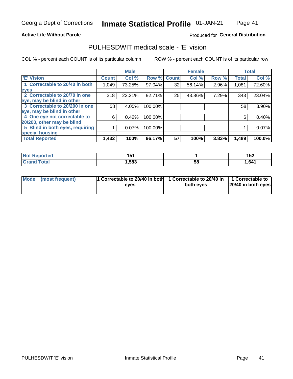Page 41

#### **Active Life Without Parole**

### Produced for General Distribution

## PULHESDWIT medical scale - 'E' vision

COL % - percent each COUNT is of its particular column

|                                 |              | <b>Male</b> |             |    | <b>Female</b> |       |              | <b>Total</b> |
|---------------------------------|--------------|-------------|-------------|----|---------------|-------|--------------|--------------|
| <b>E' Vision</b>                | <b>Count</b> | Col %       | Row % Count |    | Col %         | Row % | <b>Total</b> | Col %        |
| 1 Correctable to 20/40 in both  | 1,049        | 73.25%      | 97.04%      | 32 | 56.14%        | 2.96% | 1,081        | 72.60%       |
| eyes                            |              |             |             |    |               |       |              |              |
| 2 Correctable to 20/70 in one   | 318          | 22.21%      | 92.71%      | 25 | 43.86%        | 7.29% | 343          | 23.04%       |
| eye, may be blind in other      |              |             |             |    |               |       |              |              |
| 3 Correctable to 20/200 in one  | 58           | 4.05%       | 100.00%     |    |               |       | 58           | 3.90%        |
| eye, may be blind in other      |              |             |             |    |               |       |              |              |
| 4 One eye not correctable to    | 6            | 0.42%       | 100.00%     |    |               |       | 6            | 0.40%        |
| 20/200, other may be blind      |              |             |             |    |               |       |              |              |
| 5 Blind in both eyes, requiring |              | 0.07%       | 100.00%     |    |               |       |              | 0.07%        |
| special housing                 |              |             |             |    |               |       |              |              |
| <b>Total Reported</b>           | 1,432        | 100%        | 96.17%      | 57 | 100%          | 3.83% | 1,489        | 100.0%       |

| <b>rted</b>       | 1 F 1 |    | $\overline{a}$ |
|-------------------|-------|----|----------------|
| w                 | 1 J I |    | 1JZ            |
| $f \sim f \sim f$ | ,583  | ၁၀ | ,641           |

| Mode (most frequent) | 1 Correctable to 20/40 in both | 1 Correctable to 20/40 in   1 Correctable to |                    |
|----------------------|--------------------------------|----------------------------------------------|--------------------|
|                      | eves                           | both eves                                    | 20/40 in both eyes |
|                      |                                |                                              |                    |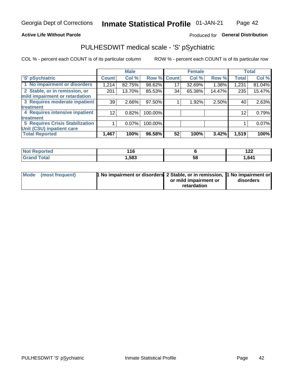### **Active Life Without Parole**

### Produced for General Distribution

## PULHESDWIT medical scale - 'S' pSychiatric

COL % - percent each COUNT is of its particular column

|                                        |                 | <b>Male</b> |                    |    | <b>Female</b> |        |              | <b>Total</b> |
|----------------------------------------|-----------------|-------------|--------------------|----|---------------|--------|--------------|--------------|
| 'S' pSychiatric                        | <b>Count</b>    | Col %       | <b>Row % Count</b> |    | Col %         | Row %  | <b>Total</b> | Col %        |
| 1 No impairment or disorders           | 1,214           | 82.75%      | 98.62%             | 17 | 32.69%        | 1.38%  | 1,231        | 81.04%       |
| 2 Stable, or in remission, or          | 201             | 13.70%      | 85.53%             | 34 | 65.38%        | 14.47% | 235          | 15.47%       |
| mild impairment or retardation         |                 |             |                    |    |               |        |              |              |
| 3 Requires moderate inpatient          | 39              | 2.66%       | 97.50%             |    | 1.92%         | 2.50%  | 40           | 2.63%        |
| treatment                              |                 |             |                    |    |               |        |              |              |
| 4 Requires intensive inpatient         | 12 <sub>1</sub> | 0.82%       | 100.00%            |    |               |        | 12           | 0.79%        |
| treatment                              |                 |             |                    |    |               |        |              |              |
| <b>5 Requires Crisis Stabilization</b> |                 | $0.07\%$    | 100.00%            |    |               |        |              | 0.07%        |
| Unit (CSU) inpatient care              |                 |             |                    |    |               |        |              |              |
| <b>Total Reported</b>                  | 1,467           | 100%        | 96.58%             | 52 | 100%          | 3.42%  | 1,519        | 100%         |

| ੋਾorted              | 14C<br><u>. . 0</u> |    | 100<br>' <i>' '</i> ' |
|----------------------|---------------------|----|-----------------------|
| <b>Total</b><br>Cror | ,583                | ວະ | ,641                  |

| Mode (most frequent) | <b>1 No impairment or disorders</b> 2 Stable, or in remission, 11 No impairment or |                       |           |
|----------------------|------------------------------------------------------------------------------------|-----------------------|-----------|
|                      |                                                                                    | or mild impairment or | disorders |
|                      |                                                                                    | retardation           |           |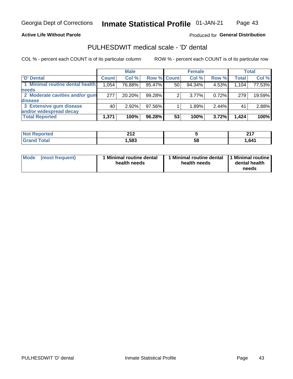### **Active Life Without Parole**

### Produced for General Distribution

## PULHESDWIT medical scale - 'D' dental

COL % - percent each COUNT is of its particular column

|                                 |              | <b>Male</b> |                    |    | <b>Female</b> |       |              | Total  |
|---------------------------------|--------------|-------------|--------------------|----|---------------|-------|--------------|--------|
| 'D' Dental                      | <b>Count</b> | Col %       | <b>Row % Count</b> |    | Col %         | Row % | <b>Total</b> | Col %  |
| 1 Minimal routine dental health | 1,054        | 76.88%      | 95.47%             | 50 | 94.34%        | 4.53% | 1,104        | 77.53% |
| <b>needs</b>                    |              |             |                    |    |               |       |              |        |
| 2 Moderate cavities and/or gum  | 277          | 20.20%      | 99.28%             | 2  | $3.77\%$      | 0.72% | 279          | 19.59% |
| <b>disease</b>                  |              |             |                    |    |               |       |              |        |
| 3 Extensive gum disease         | 40           | 2.92%       | 97.56%             |    | 1.89%         | 2.44% | 41           | 2.88%  |
| and/or widespread decay         |              |             |                    |    |               |       |              |        |
| <b>Total Reported</b>           | 1,371        | 100%        | 96.28%             | 53 | 100%          | 3.72% | 1,424        | 100%   |

| prtea         | 24c      |    | 247   |
|---------------|----------|----|-------|
| .             | <u>.</u> |    | - - - |
| <b>c</b> otal | ,583     | 58 | 641   |

| Mode<br>(most frequent) | Minimal routine dental<br>health needs | <b>Minimal routine dental</b><br>health needs | 1 Minimal routine<br>dental health<br>needs |
|-------------------------|----------------------------------------|-----------------------------------------------|---------------------------------------------|
|-------------------------|----------------------------------------|-----------------------------------------------|---------------------------------------------|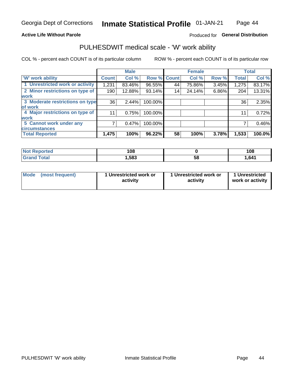### **Active Life Without Parole**

### Produced for General Distribution

### PULHESDWIT medical scale - 'W' work ability

COL % - percent each COUNT is of its particular column

|                                 |              | <b>Male</b> |         |             | <b>Female</b> |       |              | <b>Total</b> |
|---------------------------------|--------------|-------------|---------|-------------|---------------|-------|--------------|--------------|
| <b>W' work ability</b>          | <b>Count</b> | Col %       |         | Row % Count | Col %         | Row % | <b>Total</b> | Col %        |
| 1 Unrestricted work or activity | 1,231        | 83.46%      | 96.55%  | 44          | 75.86%        | 3.45% | 1,275        | 83.17%       |
| 2 Minor restrictions on type of | 190          | 12.88%      | 93.14%  | 14          | 24.14%        | 6.86% | 204          | 13.31%       |
| <b>work</b>                     |              |             |         |             |               |       |              |              |
| 3 Moderate restrictions on type | 36           | 2.44%       | 100.00% |             |               |       | 36           | 2.35%        |
| lof work                        |              |             |         |             |               |       |              |              |
| 4 Major restrictions on type of | 11           | 0.75%       | 100.00% |             |               |       | 11           | 0.72%        |
| <b>work</b>                     |              |             |         |             |               |       |              |              |
| 5 Cannot work under any         |              | 0.47%       | 100.00% |             |               |       |              | 0.46%        |
| <b>circumstances</b>            |              |             |         |             |               |       |              |              |
| <b>Total Reported</b>           | 1,475        | 100%        | 96.22%  | 58          | 100%          | 3.78% | 1,533        | 100.0%       |

| ≅norted and<br><b>NOT</b><br>Renoi | 108  |    | 108  |
|------------------------------------|------|----|------|
| <b>Total</b>                       | ,583 | 58 | .641 |

| Mode            | 1 Unrestricted work or | 1 Unrestricted work or | 1 Unrestricted   |
|-----------------|------------------------|------------------------|------------------|
| (most frequent) | activity               | activity               | work or activity |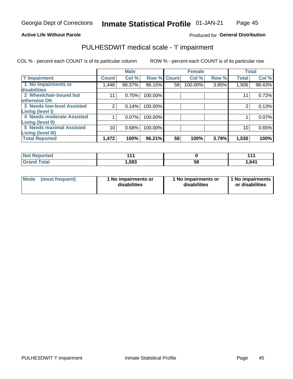### **Active Life Without Parole**

### Produced for General Distribution

## PULHESDWIT medical scale - 'I' impairment

|                                                             |                 | <b>Male</b> |             |    | <b>Female</b> |       |              | <b>Total</b> |
|-------------------------------------------------------------|-----------------|-------------|-------------|----|---------------|-------|--------------|--------------|
| <b>T' Impairment</b>                                        | <b>Count</b>    | Col %       | Row % Count |    | Col %         | Row % | <b>Total</b> | Col %        |
| 1 No impairments or<br>disabilities                         | 448, ا          | 98.37%      | 96.15%      | 58 | 100.00%       | 3.85% | 1,506        | 98.43%       |
| 2 Wheelchair-bound but                                      | 11              | 0.75%       | 100.00%     |    |               |       | 11           | 0.72%        |
| otherwise OK<br><b>3 Needs low-level Assisted</b>           | 2               | 0.14%       | 100.00%     |    |               |       | 2            | 0.13%        |
| Living (level I)                                            |                 |             |             |    |               |       |              |              |
| 4 Needs moderate Assisted                                   |                 | 0.07%       | 100.00%     |    |               |       |              | 0.07%        |
| <b>Living (level II)</b><br><b>5 Needs maximal Assisted</b> | 10 <sub>1</sub> | 0.68%       | 100.00%     |    |               |       | 10           | 0.65%        |
| <b>Living (level III)</b><br><b>Total Reported</b>          | 1,472           | 100%        | 96.21%      | 58 | 100%          | 3.79% | 1,530        | 100%         |
|                                                             |                 |             |             |    |               |       |              |              |

| <b>Reported</b> | 444   |    | 4 4 4<br>. |
|-----------------|-------|----|------------|
| `otal           | 1,583 | ၁၀ | 641. ا     |

| <b>Mode</b> | (most frequent) | <b>No impairments or</b><br>disabilities | 1 No impairments or<br>disabilities | 1 No impairments<br>or disabilities |
|-------------|-----------------|------------------------------------------|-------------------------------------|-------------------------------------|
|-------------|-----------------|------------------------------------------|-------------------------------------|-------------------------------------|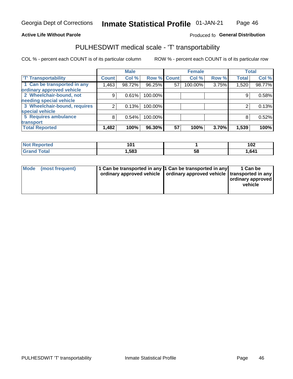### **Active Life Without Parole**

### Produced fo General Distribution

## PULHESDWIT medical scale - 'T' transportability

COL % - percent each COUNT is of its particular column

|                              |              | <b>Male</b> |             |    | <b>Female</b> |       |              | <b>Total</b> |
|------------------------------|--------------|-------------|-------------|----|---------------|-------|--------------|--------------|
| <b>T' Transportability</b>   | <b>Count</b> | Col %       | Row % Count |    | Col %         | Row % | <b>Total</b> | Col %        |
| 1 Can be transported in any  | .463         | 98.72%      | 96.25%      | 57 | 100.00%       | 3.75% | 1,520        | 98.77%       |
| ordinary approved vehicle    |              |             |             |    |               |       |              |              |
| 2 Wheelchair-bound, not      | 9            | 0.61%       | 100.00%     |    |               |       |              | 0.58%        |
| needing special vehicle      |              |             |             |    |               |       |              |              |
| 3 Wheelchair-bound, requires |              | 0.13%       | 100.00%     |    |               |       |              | 0.13%        |
| special vehicle              |              |             |             |    |               |       |              |              |
| 5 Requires ambulance         | 8            | 0.54%       | 100.00%     |    |               |       |              | 0.52%        |
| transport                    |              |             |             |    |               |       |              |              |
| <b>Total Reported</b>        | 1,482        | 100%        | 96.30%      | 57 | 100%          | 3.70% | 1,539        | 100%         |

| วrted | ◡    |    | 102   |
|-------|------|----|-------|
| `otal | .583 | 58 | 1,641 |

| <b>Mode</b> | (most frequent) | 1 Can be transported in any 1 Can be transported in any | ordinary approved vehicle   ordinary approved vehicle   transported in any | 1 Can be<br>  ordinary approved  <br>vehicle |
|-------------|-----------------|---------------------------------------------------------|----------------------------------------------------------------------------|----------------------------------------------|
|-------------|-----------------|---------------------------------------------------------|----------------------------------------------------------------------------|----------------------------------------------|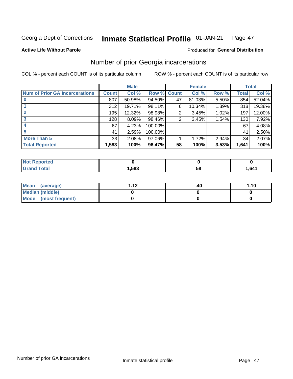#### **Inmate Statistical Profile 01-JAN-21** Page 47

**Active Life Without Parole** 

### **Produced for General Distribution**

## Number of prior Georgia incarcerations

COL % - percent each COUNT is of its particular column

|                                       |              | <b>Male</b> |                    |    | <b>Female</b> |       |       | <b>Total</b> |
|---------------------------------------|--------------|-------------|--------------------|----|---------------|-------|-------|--------------|
| <b>Num of Prior GA Incarcerations</b> | <b>Count</b> | Col %       | <b>Row % Count</b> |    | Col %         | Row % | Total | Col %        |
|                                       | 807          | 50.98%      | 94.50%             | 47 | 81.03%        | 5.50% | 854   | 52.04%       |
|                                       | 312          | 19.71%      | 98.11%             | 6  | 10.34%        | 1.89% | 318   | 19.38%       |
|                                       | 195          | 12.32%      | 98.98%             | 2  | 3.45%         | 1.02% | 197   | 12.00%       |
| 3                                     | 128          | 8.09%       | 98.46%             | 2  | 3.45%         | 1.54% | 130   | 7.92%        |
|                                       | 67           | 4.23%       | 100.00%            |    |               |       | 67    | 4.08%        |
| 5                                     | 41           | 2.59%       | 100.00%            |    |               |       | 41    | 2.50%        |
| <b>More Than 5</b>                    | 33           | 2.08%       | 97.06%             |    | 1.72%         | 2.94% | 34    | 2.07%        |
| <b>Total Reported</b>                 | 1,583        | 100%        | 96.47%             | 58 | 100%          | 3.53% | 1,641 | 100%         |

| <b>orted</b><br><b>NI</b>        |      |    |       |
|----------------------------------|------|----|-------|
| <b>Total</b><br>$\mathbf{v}$ and | ,583 | Эč | 1,641 |

| Mean (average)       | - 42 | .40 | 1.10 |
|----------------------|------|-----|------|
| Median (middle)      |      |     |      |
| Mode (most frequent) |      |     |      |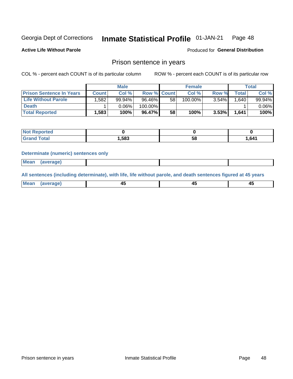#### **Inmate Statistical Profile 01-JAN-21** Page 48

**Active Life Without Parole** 

**Produced for General Distribution** 

### Prison sentence in years

COL % - percent each COUNT is of its particular column

ROW % - percent each COUNT is of its particular row

|                                 |              | <b>Male</b> |                    |    | <b>Female</b> | <b>Total</b> |       |           |
|---------------------------------|--------------|-------------|--------------------|----|---------------|--------------|-------|-----------|
| <b>Prison Sentence In Years</b> | <b>Count</b> | Col %       | <b>Row % Count</b> |    | Col %         | Row %        | Total | Col %     |
| <b>Life Without Parole</b>      | .582         | 99.94%      | 96.46%             | 58 | 100.00%       | 3.54%        | 1.640 | $99.94\%$ |
| <b>Death</b>                    |              | 0.06%       | 100.00%            |    |               |              |       | $0.06\%$  |
| <b>Total Reported</b>           | 1.583        | 100%        | 96.47% I           | 58 | 100%          | 3.53%        | 1.641 | 100%      |

| ported      |       |    |      |
|-------------|-------|----|------|
| <b>otal</b> | 1,583 | эс | .641 |

#### **Determinate (numeric) sentences only**

| ' Mea<br><b>Service</b> A<br>ЯМА. |  |  |  |
|-----------------------------------|--|--|--|
|                                   |  |  |  |

All sentences (including determinate), with life, life without parole, and death sentences figured at 45 years

| MС<br>a r -<br>-- |         |  |  |
|-------------------|---------|--|--|
|                   | ------- |  |  |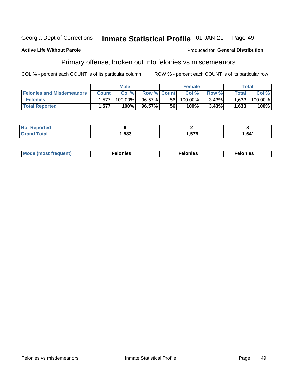#### Georgia Dept of Corrections Inmate Statistical Profile 01-JAN-21 Page 49

#### **Active Life Without Parole**

#### Produced for General Distribution

## Primary offense, broken out into felonies vs misdemeanors

COL % - percent each COUNT is of its particular column

|                                  | <b>Male</b>  |         |                    | <b>Female</b> |            |          | Total        |         |
|----------------------------------|--------------|---------|--------------------|---------------|------------|----------|--------------|---------|
| <b>Felonies and Misdemeanors</b> | <b>Count</b> | Col%    | <b>Row % Count</b> |               | Col%       | Row %    | <b>Total</b> | Col %   |
| <b>Felonies</b>                  | 1,577        | 100.00% | 96.57%             | 56            | $100.00\%$ | $3.43\%$ | 1,633        | 100.00% |
| <b>Total Reported</b>            | .577         | $100\%$ | 96.57%             | 56            | 100%       | 3.43%    | 1,633        | 100%    |

| <b>Not Reported</b>   |      |               |       |
|-----------------------|------|---------------|-------|
| Total<br><b>Grand</b> | ,583 | 570<br>.J I J | 1,641 |

| <b>Mode</b><br>frequent)<br>nies<br>≧ (most tr.<br>. | onies<br>. | lonies<br>ею<br>____ |
|------------------------------------------------------|------------|----------------------|
|------------------------------------------------------|------------|----------------------|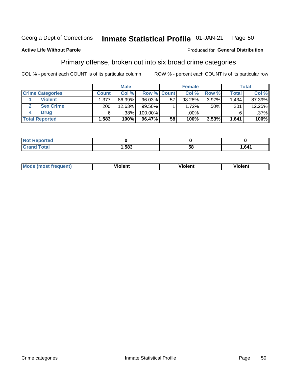#### Inmate Statistical Profile 01-JAN-21 Page 50

### **Active Life Without Parole**

#### Produced for General Distribution

## Primary offense, broken out into six broad crime categories

COL % - percent each COUNT is of its particular column

|                         | <b>Male</b>  |        |                    | <b>Female</b> |        |          | Total |         |
|-------------------------|--------------|--------|--------------------|---------------|--------|----------|-------|---------|
| <b>Crime Categories</b> | <b>Count</b> | Col %  | <b>Row % Count</b> |               | Col %  | Row %    | Total | Col %   |
| <b>Violent</b>          | 1,377        | 86.99% | 96.03%             | 57            | 98.28% | $3.97\%$ | 1.434 | 87.39%  |
| <b>Sex Crime</b>        | ا 200        | 12.63% | 99.50%             |               | 1.72%  | .50%     | 201   | 12.25%  |
| <b>Drug</b>             | 6            | .38%   | 100.00%            |               | .00%   |          |       | $.37\%$ |
| <b>Total Reported</b>   | 1,583        | 100%   | 96.47%             | 58            | 100%   | 3.53%    | 1,641 | 100%    |

| _____ | .583 | 58 | ,641 |
|-------|------|----|------|

| <b>Mode (most frequent)</b> | .             |         | .     |
|-----------------------------|---------------|---------|-------|
|                             | <b>ïolent</b> | ∕iolent | ∍lent |
|                             |               |         |       |
|                             |               |         |       |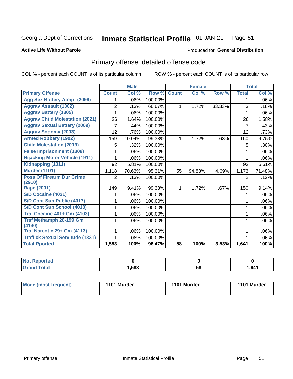#### Inmate Statistical Profile 01-JAN-21 Page 51

#### **Active Life Without Parole**

### **Produced for General Distribution**

## Primary offense, detailed offense code

COL % - percent each COUNT is of its particular column

|                                         |              | <b>Male</b>                |         |              | <b>Female</b> |        |              | <b>Total</b> |
|-----------------------------------------|--------------|----------------------------|---------|--------------|---------------|--------|--------------|--------------|
| <b>Primary Offense</b>                  | <b>Count</b> | $\overline{\text{Col }^9}$ | Row %   | <b>Count</b> | Col %         | Row %  | <b>Total</b> | Col %        |
| <b>Agg Sex Battery Atmpt (2099)</b>     |              | .06%                       | 100.00% |              |               |        | 1            | .06%         |
| <b>Aggrav Assault (1302)</b>            | 2            | .13%                       | 66.67%  | 1            | 1.72%         | 33.33% | 3            | .18%         |
| <b>Aggrav Battery (1305)</b>            |              | .06%                       | 100.00% |              |               |        |              | .06%         |
| <b>Aggrav Child Molestation (2021)</b>  | 26           | 1.64%                      | 100.00% |              |               |        | 26           | 1.58%        |
| <b>Aggrav Sexual Battery (2009)</b>     |              | .44%                       | 100.00% |              |               |        | 7            | .43%         |
| <b>Aggrav Sodomy (2003)</b>             | 12           | .76%                       | 100.00% |              |               |        | 12           | .73%         |
| <b>Armed Robbery (1902)</b>             | 159          | 10.04%                     | 99.38%  | 1            | 1.72%         | .63%   | 160          | 9.75%        |
| <b>Child Molestation (2019)</b>         | 5            | .32%                       | 100.00% |              |               |        | 5            | .30%         |
| <b>False Imprisonment (1308)</b>        |              | .06%                       | 100.00% |              |               |        |              | .06%         |
| <b>Hijacking Motor Vehicle (1911)</b>   |              | .06%                       | 100.00% |              |               |        |              | .06%         |
| Kidnapping (1311)                       | 92           | 5.81%                      | 100.00% |              |               |        | 92           | 5.61%        |
| <b>Murder (1101)</b>                    | 1,118        | 70.63%                     | 95.31%  | 55           | 94.83%        | 4.69%  | 1,173        | 71.48%       |
| <b>Poss Of Firearm Dur Crime</b>        | 2            | .13%                       | 100.00% |              |               |        | 2            | .12%         |
| (2910)                                  |              |                            |         |              |               |        |              |              |
| Rape (2001)                             | 149          | 9.41%                      | 99.33%  |              | 1.72%         | .67%   | 150          | 9.14%        |
| S/D Cocaine (4021)                      |              | .06%                       | 100.00% |              |               |        |              | .06%         |
| S/D Cont Sub Public (4017)              |              | .06%                       | 100.00% |              |               |        |              | .06%         |
| S/D Cont Sub School (4018)              |              | .06%                       | 100.00% |              |               |        | 1            | .06%         |
| <b>Traf Cocaine 401+ Gm (4103)</b>      |              | .06%                       | 100.00% |              |               |        | 1            | .06%         |
| <b>Traf Methamph 28-199 Gm</b>          |              | .06%                       | 100.00% |              |               |        | 1            | .06%         |
| (4140)                                  |              |                            |         |              |               |        |              |              |
| Traf Narcotic 29+ Gm (4113)             |              | .06%                       | 100.00% |              |               |        |              | .06%         |
| <b>Traffick Sexual Servitude (1331)</b> |              | .06%                       | 100.00% |              |               |        |              | .06%         |
| <b>Total Rported</b>                    | 1,583        | 100%                       | 96.47%  | 58           | 100%          | 3.53%  | 1,641        | 100%         |

| <b>Not</b><br><b>orted</b><br>керс |      |          |      |
|------------------------------------|------|----------|------|
| <b>Total</b>                       | ,583 | --<br>58 | 641, |

| Mode (most frequent) | 1101 Murder | 1101 Murder | 1101 Murder |
|----------------------|-------------|-------------|-------------|
|----------------------|-------------|-------------|-------------|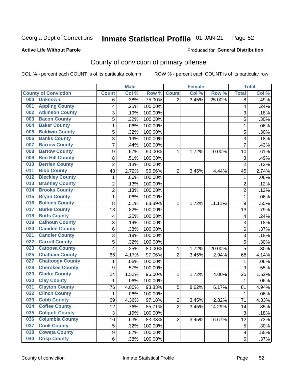#### **Inmate Statistical Profile 01-JAN-21** Page 52

**Active Life Without Parole** 

Produced for General Distribution

## County of conviction of primary offense

COL % - percent each COUNT is of its particular column

|                                |                  | <b>Male</b> |         |                | <b>Female</b> |        |                  | <b>Total</b> |
|--------------------------------|------------------|-------------|---------|----------------|---------------|--------|------------------|--------------|
| <b>County of Conviction</b>    | <b>Count</b>     | Col %       | Row %   | <b>Count</b>   | Col %         | Row %  | <b>Total</b>     | Col %        |
| 000<br><b>Unknown</b>          | 6                | .38%        | 75.00%  | 2              | 3.45%         | 25.00% | 8                | .49%         |
| <b>Appling County</b><br>001   | 4                | .25%        | 100.00% |                |               |        | 4                | .24%         |
| <b>Atkinson County</b><br>002  | 3                | .19%        | 100.00% |                |               |        | 3                | .18%         |
| <b>Bacon County</b><br>003     | 5                | .32%        | 100.00% |                |               |        | 5                | .30%         |
| <b>Baker County</b><br>004     | 1                | .06%        | 100.00% |                |               |        | 1                | .06%         |
| <b>Baldwin County</b><br>005   | 5                | .32%        | 100.00% |                |               |        | 5                | .30%         |
| <b>Banks County</b><br>006     | 3                | .19%        | 100.00% |                |               |        | 3                | .18%         |
| <b>Barrow County</b><br>007    | $\overline{7}$   | .44%        | 100.00% |                |               |        | $\overline{7}$   | .43%         |
| <b>Bartow County</b><br>008    | 9                | .57%        | 90.00%  | 1              | 1.72%         | 10.00% | 10               | .61%         |
| <b>Ben Hill County</b><br>009  | 8                | .51%        | 100.00% |                |               |        | 8                | .49%         |
| <b>Berrien County</b><br>010   | $\overline{c}$   | .13%        | 100.00% |                |               |        | $\overline{c}$   | .12%         |
| <b>Bibb County</b><br>011      | 43               | 2.72%       | 95.56%  | $\overline{2}$ | 3.45%         | 4.44%  | 45               | 2.74%        |
| <b>Bleckley County</b><br>012  | 1                | .06%        | 100.00% |                |               |        | $\mathbf{1}$     | .06%         |
| <b>Brantley County</b><br>013  | $\overline{2}$   | .13%        | 100.00% |                |               |        | $\boldsymbol{2}$ | .12%         |
| <b>Brooks County</b><br>014    | $\overline{c}$   | .13%        | 100.00% |                |               |        | $\overline{c}$   | .12%         |
| <b>Bryan County</b><br>015     | 1                | .06%        | 100.00% |                |               |        | $\mathbf{1}$     | .06%         |
| <b>Bulloch County</b><br>016   | 8                | .51%        | 88.89%  | 1              | 1.72%         | 11.11% | 9                | .55%         |
| <b>Burke County</b><br>017     | 13               | .82%        | 100.00% |                |               |        | 13               | .79%         |
| <b>Butts County</b><br>018     | 4                | .25%        | 100.00% |                |               |        | 4                | .24%         |
| <b>Calhoun County</b><br>019   | 3                | .19%        | 100.00% |                |               |        | $\sqrt{3}$       | .18%         |
| <b>Camden County</b><br>020    | 6                | .38%        | 100.00% |                |               |        | $\,6\,$          | .37%         |
| <b>Candler County</b><br>021   | 3                | .19%        | 100.00% |                |               |        | 3                | .18%         |
| <b>Carroll County</b><br>022   | 5                | .32%        | 100.00% |                |               |        | 5                | .30%         |
| <b>Catoosa County</b><br>023   | 4                | .25%        | 80.00%  | 1              | 1.72%         | 20.00% | 5                | .30%         |
| <b>Chatham County</b><br>025   | 66               | 4.17%       | 97.06%  | $\overline{2}$ | 3.45%         | 2.94%  | 68               | 4.14%        |
| <b>Chattooga County</b><br>027 | 1                | .06%        | 100.00% |                |               |        | 1                | .06%         |
| <b>Cherokee County</b><br>028  | $\boldsymbol{9}$ | .57%        | 100.00% |                |               |        | 9                | .55%         |
| <b>Clarke County</b><br>029    | 24               | 1.52%       | 96.00%  | 1              | 1.72%         | 4.00%  | 25               | 1.52%        |
| <b>Clay County</b><br>030      | 1                | .06%        | 100.00% |                |               |        | $\mathbf{1}$     | .06%         |
| <b>Clayton County</b><br>031   | 76               | 4.80%       | 93.83%  | 5              | 8.62%         | 6.17%  | 81               | 4.94%        |
| <b>Clinch County</b><br>032    | 1                | .06%        | 100.00% |                |               |        | 1                | .06%         |
| <b>Cobb County</b><br>033      | 69               | 4.36%       | 97.18%  | 2              | 3.45%         | 2.82%  | 71               | 4.33%        |
| <b>Coffee County</b><br>034    | 12               | .76%        | 85.71%  | $\overline{2}$ | 3.45%         | 14.29% | 14               | .85%         |
| <b>Colquitt County</b><br>035  | $\sqrt{3}$       | .19%        | 100.00% |                |               |        | $\mathbf{3}$     | .18%         |
| <b>Columbia County</b><br>036  | 10               | .63%        | 83.33%  | $\overline{2}$ | 3.45%         | 16.67% | 12               | .73%         |
| <b>Cook County</b><br>037      | 5                | .32%        | 100.00% |                |               |        | 5                | .30%         |
| <b>Coweta County</b><br>038    | 9                | .57%        | 100.00% |                |               |        | $\boldsymbol{9}$ | .55%         |
| <b>Crisp County</b><br>040     | 6                | .38%        | 100.00% |                |               |        | 6                | .37%         |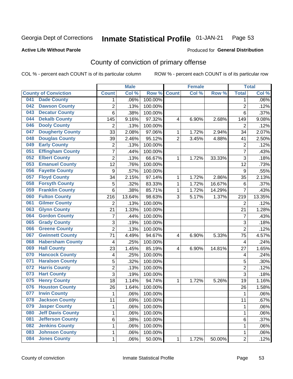#### Inmate Statistical Profile 01-JAN-21 Page 53

#### **Active Life Without Parole**

### Produced for General Distribution

## County of conviction of primary offense

COL % - percent each COUNT is of its particular column

|     |                             |                 | <b>Male</b> |         |                | <b>Female</b> |        |                | <b>Total</b> |
|-----|-----------------------------|-----------------|-------------|---------|----------------|---------------|--------|----------------|--------------|
|     | <b>County of Conviction</b> | <b>Count</b>    | Col %       | Row %   | <b>Count</b>   | Col %         | Row %  | <b>Total</b>   | Col %        |
| 041 | <b>Dade County</b>          | $\mathbf 1$     | .06%        | 100.00% |                |               |        | 1              | .06%         |
| 042 | <b>Dawson County</b>        | $\overline{c}$  | .13%        | 100.00% |                |               |        | $\overline{2}$ | .12%         |
| 043 | <b>Decatur County</b>       | 6               | .38%        | 100.00% |                |               |        | 6              | .37%         |
| 044 | <b>Dekalb County</b>        | 145             | 9.16%       | 97.32%  | 4              | 6.90%         | 2.68%  | 149            | 9.08%        |
| 046 | <b>Dooly County</b>         | $\overline{2}$  | .13%        | 100.00% |                |               |        | $\overline{2}$ | .12%         |
| 047 | <b>Dougherty County</b>     | 33              | 2.08%       | 97.06%  | 1              | 1.72%         | 2.94%  | 34             | 2.07%        |
| 048 | <b>Douglas County</b>       | 39              | 2.46%       | 95.12%  | $\overline{2}$ | 3.45%         | 4.88%  | 41             | 2.50%        |
| 049 | <b>Early County</b>         | $\overline{2}$  | .13%        | 100.00% |                |               |        | $\overline{2}$ | .12%         |
| 051 | <b>Effingham County</b>     | $\overline{7}$  | .44%        | 100.00% |                |               |        | $\overline{7}$ | .43%         |
| 052 | <b>Elbert County</b>        | $\overline{c}$  | .13%        | 66.67%  | 1              | 1.72%         | 33.33% | 3              | .18%         |
| 053 | <b>Emanuel County</b>       | $\overline{12}$ | .76%        | 100.00% |                |               |        | 12             | .73%         |
| 056 | <b>Fayette County</b>       | 9               | .57%        | 100.00% |                |               |        | 9              | .55%         |
| 057 | <b>Floyd County</b>         | 34              | 2.15%       | 97.14%  | $\mathbf{1}$   | 1.72%         | 2.86%  | 35             | 2.13%        |
| 058 | <b>Forsyth County</b>       | 5               | .32%        | 83.33%  | 1              | 1.72%         | 16.67% | 6              | .37%         |
| 059 | <b>Franklin County</b>      | 6               | .38%        | 85.71%  | 1              | 1.72%         | 14.29% | $\overline{7}$ | .43%         |
| 060 | <b>Fulton County</b>        | 216             | 13.64%      | 98.63%  | 3              | 5.17%         | 1.37%  | 219            | 13.35%       |
| 061 | <b>Gilmer County</b>        | $\overline{2}$  | .13%        | 100.00% |                |               |        | $\overline{2}$ | .12%         |
| 063 | <b>Glynn County</b>         | 21              | 1.33%       | 100.00% |                |               |        | 21             | 1.28%        |
| 064 | <b>Gordon County</b>        | $\overline{7}$  | .44%        | 100.00% |                |               |        | $\overline{7}$ | .43%         |
| 065 | <b>Grady County</b>         | 3               | .19%        | 100.00% |                |               |        | 3              | .18%         |
| 066 | <b>Greene County</b>        | $\overline{2}$  | .13%        | 100.00% |                |               |        | $\overline{2}$ | .12%         |
| 067 | <b>Gwinnett County</b>      | 71              | 4.49%       | 94.67%  | 4              | 6.90%         | 5.33%  | 75             | 4.57%        |
| 068 | <b>Habersham County</b>     | 4               | .25%        | 100.00% |                |               |        | 4              | .24%         |
| 069 | <b>Hall County</b>          | 23              | 1.45%       | 85.19%  | 4              | 6.90%         | 14.81% | 27             | 1.65%        |
| 070 | <b>Hancock County</b>       | 4               | .25%        | 100.00% |                |               |        | 4              | .24%         |
| 071 | <b>Haralson County</b>      | 5               | .32%        | 100.00% |                |               |        | 5              | .30%         |
| 072 | <b>Harris County</b>        | $\overline{2}$  | .13%        | 100.00% |                |               |        | $\overline{2}$ | .12%         |
| 073 | <b>Hart County</b>          | 3               | .19%        | 100.00% |                |               |        | 3              | .18%         |
| 075 | <b>Henry County</b>         | 18              | 1.14%       | 94.74%  | $\mathbf{1}$   | 1.72%         | 5.26%  | 19             | 1.16%        |
| 076 | <b>Houston County</b>       | 26              | 1.64%       | 100.00% |                |               |        | 26             | 1.58%        |
| 077 | <b>Irwin County</b>         | $\mathbf{1}$    | .06%        | 100.00% |                |               |        | 1              | .06%         |
| 078 | <b>Jackson County</b>       | 11              | .69%        | 100.00% |                |               |        | 11             | .67%         |
| 079 | <b>Jasper County</b>        | 1               | .06%        | 100.00% |                |               |        | 1              | .06%         |
| 080 | <b>Jeff Davis County</b>    | 1               | .06%        | 100.00% |                |               |        | 1              | .06%         |
| 081 | <b>Jefferson County</b>     | 6               | .38%        | 100.00% |                |               |        | 6              | .37%         |
| 082 | <b>Jenkins County</b>       | 1               | .06%        | 100.00% |                |               |        | 1              | .06%         |
| 083 | <b>Johnson County</b>       | 1               | .06%        | 100.00% |                |               |        | 1              | .06%         |
| 084 | <b>Jones County</b>         | 1               | .06%        | 50.00%  | 1              | 1.72%         | 50.00% | $\overline{2}$ | .12%         |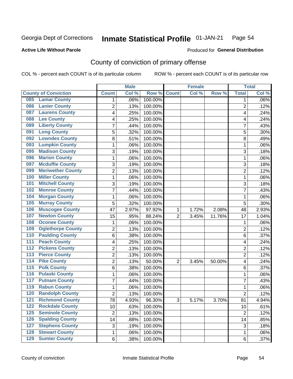#### Inmate Statistical Profile 01-JAN-21 Page 54

**Active Life Without Parole** 

Produced for General Distribution

## County of conviction of primary offense

COL % - percent each COUNT is of its particular column

|                  |                             |                 | <b>Male</b> |         |                | <b>Female</b> |        |                 | <b>Total</b> |
|------------------|-----------------------------|-----------------|-------------|---------|----------------|---------------|--------|-----------------|--------------|
|                  | <b>County of Conviction</b> | <b>Count</b>    | Col %       | Row %   | <b>Count</b>   | Col %         | Row %  | <b>Total</b>    | Col %        |
| 085              | <b>Lamar County</b>         | 1               | .06%        | 100.00% |                |               |        | 1               | $.06\%$      |
| 086              | <b>Lanier County</b>        | $\overline{2}$  | .13%        | 100.00% |                |               |        | $\overline{2}$  | .12%         |
| 087              | <b>Laurens County</b>       | 4               | .25%        | 100.00% |                |               |        | 4               | .24%         |
| 088              | <b>Lee County</b>           | 4               | .25%        | 100.00% |                |               |        | 4               | .24%         |
| 089              | <b>Liberty County</b>       | 7               | .44%        | 100.00% |                |               |        | 7               | .43%         |
| 091              | <b>Long County</b>          | 5               | .32%        | 100.00% |                |               |        | 5               | .30%         |
| 092              | <b>Lowndes County</b>       | 8               | .51%        | 100.00% |                |               |        | 8               | .49%         |
| 093              | <b>Lumpkin County</b>       | 1               | .06%        | 100.00% |                |               |        | 1               | .06%         |
| 095              | <b>Madison County</b>       | 3               | .19%        | 100.00% |                |               |        | 3               | .18%         |
| 096              | <b>Marion County</b>        | 1               | .06%        | 100.00% |                |               |        | 1               | .06%         |
| 097              | <b>Mcduffie County</b>      | 3               | .19%        | 100.00% |                |               |        | 3               | .18%         |
| 099              | <b>Meriwether County</b>    | $\overline{2}$  | .13%        | 100.00% |                |               |        | $\overline{2}$  | .12%         |
| 100              | <b>Miller County</b>        | 1               | .06%        | 100.00% |                |               |        | 1               | .06%         |
| 101              | <b>Mitchell County</b>      | 3               | .19%        | 100.00% |                |               |        | 3               | .18%         |
| 102              | <b>Monroe County</b>        | 7               | .44%        | 100.00% |                |               |        | $\overline{7}$  | .43%         |
| 104              | <b>Morgan County</b>        | 1               | .06%        | 100.00% |                |               |        | 1               | .06%         |
| 105              | <b>Murray County</b>        | 5               | .32%        | 100.00% |                |               |        | 5               | .30%         |
| 106              | <b>Muscogee County</b>      | 47              | 2.97%       | 97.92%  | 1              | 1.72%         | 2.08%  | 48              | 2.93%        |
| 107              | <b>Newton County</b>        | 15              | .95%        | 88.24%  | $\overline{2}$ | 3.45%         | 11.76% | 17              | 1.04%        |
| 108              | <b>Oconee County</b>        | 1               | .06%        | 100.00% |                |               |        | 1               | .06%         |
| 109              | <b>Oglethorpe County</b>    | 2               | .13%        | 100.00% |                |               |        | 2               | .12%         |
| 110              | <b>Paulding County</b>      | 6               | .38%        | 100.00% |                |               |        | 6               | .37%         |
| 111              | <b>Peach County</b>         | 4               | .25%        | 100.00% |                |               |        | 4               | .24%         |
| 112              | <b>Pickens County</b>       | $\overline{2}$  | .13%        | 100.00% |                |               |        | $\overline{2}$  | .12%         |
| 113              | <b>Pierce County</b>        | 2               | .13%        | 100.00% |                |               |        | 2               | .12%         |
| $\overline{114}$ | <b>Pike County</b>          | $\overline{2}$  | .13%        | 50.00%  | $\overline{2}$ | 3.45%         | 50.00% | 4               | .24%         |
| $\overline{115}$ | <b>Polk County</b>          | 6               | .38%        | 100.00% |                |               |        | 6               | .37%         |
| 116              | <b>Pulaski County</b>       | 1               | .06%        | 100.00% |                |               |        | 1               | .06%         |
| 117              | <b>Putnam County</b>        | 7               | .44%        | 100.00% |                |               |        | 7               | .43%         |
| 119              | <b>Rabun County</b>         | 1               | .06%        | 100.00% |                |               |        | 1               | .06%         |
| 120              | <b>Randolph County</b>      | 2               | .13%        | 100.00% |                |               |        | 2               | .12%         |
|                  | <b>121 Richmond County</b>  | $\overline{78}$ | 4.93%       | 96.30%  | 3              | 5.17%         | 3.70%  | $\overline{81}$ | 4.94%        |
| 122              | <b>Rockdale County</b>      | 10              | .63%        | 100.00% |                |               |        | 10              | .61%         |
| $125$            | <b>Seminole County</b>      | $\overline{2}$  | .13%        | 100.00% |                |               |        | $\overline{2}$  | .12%         |
| 126              | <b>Spalding County</b>      | 14              | .88%        | 100.00% |                |               |        | 14              | .85%         |
| 127              | <b>Stephens County</b>      | 3               | .19%        | 100.00% |                |               |        | 3               | .18%         |
| 128              | <b>Stewart County</b>       | 1               | .06%        | 100.00% |                |               |        | 1               | .06%         |
| 129              | <b>Sumter County</b>        | 6               | .38%        | 100.00% |                |               |        | 6               | .37%         |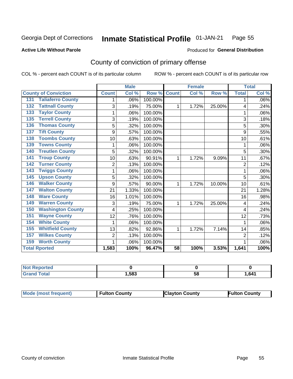#### Inmate Statistical Profile 01-JAN-21 Page 55

**Active Life Without Parole** 

Produced for General Distribution

## County of conviction of primary offense

COL % - percent each COUNT is of its particular column

|                                 |                | <b>Male</b> |         |                 | <b>Female</b> |        |                | <b>Total</b> |
|---------------------------------|----------------|-------------|---------|-----------------|---------------|--------|----------------|--------------|
| <b>County of Conviction</b>     | <b>Count</b>   | Col %       | Row %   | <b>Count</b>    | Col %         | Row %  | <b>Total</b>   | Col %        |
| <b>Taliaferro County</b><br>131 |                | .06%        | 100.00% |                 |               |        | 1              | .06%         |
| <b>Tattnall County</b><br>132   | 3              | .19%        | 75.00%  | 1               | 1.72%         | 25.00% | 4              | .24%         |
| <b>Taylor County</b><br>133     | 1              | .06%        | 100.00% |                 |               |        | 1              | .06%         |
| <b>Terrell County</b><br>135    | 3              | .19%        | 100.00% |                 |               |        | 3              | .18%         |
| <b>Thomas County</b><br>136     | 5              | .32%        | 100.00% |                 |               |        | 5              | .30%         |
| <b>Tift County</b><br>137       | 9              | .57%        | 100.00% |                 |               |        | 9              | .55%         |
| <b>Toombs County</b><br>138     | 10             | .63%        | 100.00% |                 |               |        | 10             | .61%         |
| <b>Towns County</b><br>139      |                | .06%        | 100.00% |                 |               |        |                | .06%         |
| <b>Treutlen County</b><br>140   | 5              | .32%        | 100.00% |                 |               |        | 5              | $.30\%$      |
| <b>Troup County</b><br>141      | 10             | .63%        | 90.91%  | 1               | 1.72%         | 9.09%  | 11             | .67%         |
| <b>Turner County</b><br>142     | $\overline{2}$ | .13%        | 100.00% |                 |               |        | $\overline{2}$ | .12%         |
| <b>Twiggs County</b><br>143     | 1              | .06%        | 100.00% |                 |               |        | 1              | .06%         |
| <b>Upson County</b><br>145      | 5              | .32%        | 100.00% |                 |               |        | 5              | .30%         |
| <b>Walker County</b><br>146     | 9              | .57%        | 90.00%  | 1               | 1.72%         | 10.00% | 10             | .61%         |
| <b>Walton County</b><br>147     | 21             | 1.33%       | 100.00% |                 |               |        | 21             | 1.28%        |
| <b>Ware County</b><br>148       | 16             | 1.01%       | 100.00% |                 |               |        | 16             | .98%         |
| <b>Warren County</b><br>149     | 3              | .19%        | 75.00%  | 1               | 1.72%         | 25.00% | 4              | .24%         |
| <b>Washington County</b><br>150 | 4              | .25%        | 100.00% |                 |               |        | 4              | .24%         |
| <b>Wayne County</b><br>151      | 12             | .76%        | 100.00% |                 |               |        | 12             | .73%         |
| <b>White County</b><br>154      | 1              | .06%        | 100.00% |                 |               |        | 1              | .06%         |
| <b>Whitfield County</b><br>155  | 13             | .82%        | 92.86%  | 1               | 1.72%         | 7.14%  | 14             | .85%         |
| <b>Wilkes County</b><br>157     | $\overline{2}$ | .13%        | 100.00% |                 |               |        | 2              | .12%         |
| <b>Worth County</b><br>159      | 1              | .06%        | 100.00% |                 |               |        |                | .06%         |
| <b>Total Rported</b>            | 1,583          | 100%        | 96.47%  | $\overline{58}$ | 100%          | 3.53%  | 1,641          | 100%         |

| rtea        |      |   |      |
|-------------|------|---|------|
| $C = 4 - 7$ | ,583 | u | ,641 |

|  | Mode (most frequent) | <b>Fulton County</b> | <b>Clayton County</b> | <b>Fulton County</b> |
|--|----------------------|----------------------|-----------------------|----------------------|
|--|----------------------|----------------------|-----------------------|----------------------|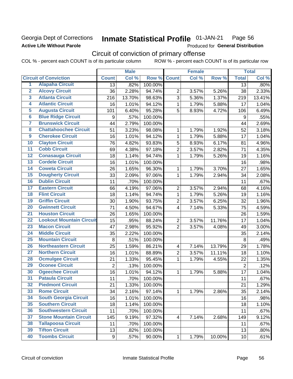### **Georgia Dept of Corrections Active Life Without Parole**

#### Inmate Statistical Profile 01-JAN-21 Page 56

Produced for General Distribution

## Circuit of conviction of primary offense

|                         |                                 |                 | <b>Male</b> |         |                          | <b>Female</b> |        |                  | <b>Total</b> |
|-------------------------|---------------------------------|-----------------|-------------|---------|--------------------------|---------------|--------|------------------|--------------|
|                         | <b>Circuit of Conviction</b>    | <b>Count</b>    | Col %       | Row %   | <b>Count</b>             | Col %         | Row %  | <b>Total</b>     | Col %        |
| 1                       | <b>Alapaha Circuit</b>          | $\overline{13}$ | .82%        | 100.00% |                          |               |        | 13               | .80%         |
| $\overline{2}$          | <b>Alcovy Circuit</b>           | 36              | 2.28%       | 94.74%  | $\overline{2}$           | 3.57%         | 5.26%  | 38               | 2.33%        |
| $\overline{\mathbf{3}}$ | <b>Atlanta Circuit</b>          | 216             | 13.70%      | 98.63%  | 3                        | 5.36%         | 1.37%  | 219              | 13.41%       |
| 4                       | <b>Atlantic Circuit</b>         | 16              | 1.01%       | 94.12%  | $\mathbf 1$              | 1.79%         | 5.88%  | 17               | 1.04%        |
| 5                       | <b>Augusta Circuit</b>          | 101             | 6.40%       | 95.28%  | 5                        | 8.93%         | 4.72%  | 106              | 6.49%        |
| $\overline{6}$          | <b>Blue Ridge Circuit</b>       | 9               | .57%        | 100.00% |                          |               |        | $\boldsymbol{9}$ | .55%         |
| 7                       | <b>Brunswick Circuit</b>        | 44              | 2.79%       | 100.00% |                          |               |        | 44               | 2.69%        |
| 8                       | <b>Chattahoochee Circuit</b>    | 51              | 3.23%       | 98.08%  | 1                        | 1.79%         | 1.92%  | 52               | 3.18%        |
| $\overline{9}$          | <b>Cherokee Circuit</b>         | 16              | 1.01%       | 94.12%  | 1                        | 1.79%         | 5.88%  | 17               | 1.04%        |
| 10                      | <b>Clayton Circuit</b>          | 76              | 4.82%       | 93.83%  | 5                        | 8.93%         | 6.17%  | 81               | 4.96%        |
| $\overline{11}$         | <b>Cobb Circuit</b>             | 69              | 4.38%       | 97.18%  | $\overline{c}$           | 3.57%         | 2.82%  | 71               | 4.35%        |
| 12                      | <b>Conasauga Circuit</b>        | 18              | 1.14%       | 94.74%  | $\mathbf{1}$             | 1.79%         | 5.26%  | 19               | 1.16%        |
| 13                      | <b>Cordele Circuit</b>          | 16              | 1.01%       | 100.00% |                          |               |        | 16               | .98%         |
| $\overline{14}$         | <b>Coweta Circuit</b>           | 26              | 1.65%       | 96.30%  | $\mathbf{1}$             | 1.79%         | 3.70%  | 27               | 1.65%        |
| $\overline{15}$         | <b>Dougherty Circuit</b>        | 33              | 2.09%       | 97.06%  | $\mathbf 1$              | 1.79%         | 2.94%  | 34               | 2.08%        |
| 16                      | <b>Dublin Circuit</b>           | 11              | .70%        | 100.00% |                          |               |        | 11               | .67%         |
| 17                      | <b>Eastern Circuit</b>          | 66              | 4.19%       | 97.06%  | $\overline{2}$           | 3.57%         | 2.94%  | 68               | 4.16%        |
| 18                      | <b>Flint Circuit</b>            | 18              | 1.14%       | 94.74%  | $\mathbf{1}$             | 1.79%         | 5.26%  | 19               | 1.16%        |
| 19                      | <b>Griffin Circuit</b>          | 30              | 1.90%       | 93.75%  | $\overline{2}$           | 3.57%         | 6.25%  | 32               | 1.96%        |
| $\overline{20}$         | <b>Gwinnett Circuit</b>         | 71              | 4.50%       | 94.67%  | 4                        | 7.14%         | 5.33%  | 75               | 4.59%        |
| $\overline{21}$         | <b>Houston Circuit</b>          | 26              | 1.65%       | 100.00% |                          |               |        | 26               | 1.59%        |
| $\overline{22}$         | <b>Lookout Mountain Circuit</b> | 15              | .95%        | 88.24%  | $\overline{2}$           | 3.57%         | 11.76% | 17               | 1.04%        |
| 23                      | <b>Macon Circuit</b>            | 47              | 2.98%       | 95.92%  | $\overline{2}$           | 3.57%         | 4.08%  | 49               | 3.00%        |
| $\overline{24}$         | <b>Middle Circuit</b>           | 35              | 2.22%       | 100.00% |                          |               |        | 35               | 2.14%        |
| $\overline{25}$         | <b>Mountain Circuit</b>         | $\, 8$          | .51%        | 100.00% |                          |               |        | 8                | .49%         |
| 26                      | <b>Northeastern Circuit</b>     | 25              | 1.59%       | 86.21%  | $\overline{\mathcal{A}}$ | 7.14%         | 13.79% | 29               | 1.78%        |
| $\overline{27}$         | <b>Northern Circuit</b>         | 16              | 1.01%       | 88.89%  | $\overline{c}$           | 3.57%         | 11.11% | 18               | 1.10%        |
| 28                      | <b>Ocmulgee Circuit</b>         | 21              | 1.33%       | 95.45%  | $\mathbf{1}$             | 1.79%         | 4.55%  | 22               | 1.35%        |
| 29                      | <b>Oconee Circuit</b>           | $\overline{2}$  | .13%        | 100.00% |                          |               |        | $\overline{2}$   | .12%         |
| 30                      | <b>Ogeechee Circuit</b>         | 16              | 1.01%       | 94.12%  | 1                        | 1.79%         | 5.88%  | 17               | 1.04%        |
| $\overline{31}$         | <b>Pataula Circuit</b>          | 11              | .70%        | 100.00% |                          |               |        | 11               | .67%         |
| 32                      | <b>Piedmont Circuit</b>         | 21              | 1.33%       | 100.00% |                          |               |        | 21               | 1.29%        |
| 33                      | <b>Rome Circuit</b>             | 34              | 2.16%       | 97.14%  | $\mathbf{1}$             | 1.79%         | 2.86%  | 35               | 2.14%        |
| 34                      | <b>South Georgia Circuit</b>    | 16              | 1.01%       | 100.00% |                          |               |        | 16               | .98%         |
| 35                      | <b>Southern Circuit</b>         | 18              | 1.14%       | 100.00% |                          |               |        | 18               | 1.10%        |
| 36                      | <b>Southwestern Circuit</b>     | 11              | .70%        | 100.00% |                          |               |        | 11               | .67%         |
| 37                      | <b>Stone Mountain Circuit</b>   | 145             | 9.19%       | 97.32%  | 4                        | 7.14%         | 2.68%  | 149              | 9.12%        |
| 38                      | <b>Tallapoosa Circuit</b>       | 11              | .70%        | 100.00% |                          |               |        | 11               | .67%         |
| 39                      | <b>Tifton Circuit</b>           | 13              | .82%        | 100.00% |                          |               |        | 13               | .80%         |
| 40                      | <b>Toombs Circuit</b>           | 9               | .57%        | 90.00%  | $\mathbf{1}$             | 1.79%         | 10.00% | 10 <sub>1</sub>  | .61%         |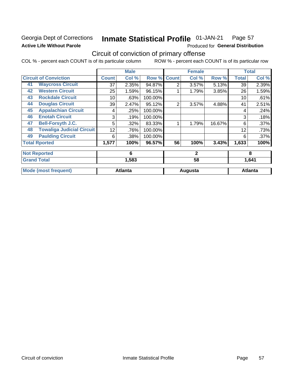## **Georgia Dept of Corrections Active Life Without Parole**

#### Inmate Statistical Profile 01-JAN-21 Page 57

Produced for General Distribution

## Circuit of conviction of primary offense

|    |                                  |              | <b>Male</b>    |         |                | <b>Female</b> |        |              | <b>Total</b>   |
|----|----------------------------------|--------------|----------------|---------|----------------|---------------|--------|--------------|----------------|
|    | <b>Circuit of Conviction</b>     | <b>Count</b> | Col %          | Row %   | <b>Count</b>   | Col %         | Row %  | <b>Total</b> | Col %          |
| 41 | <b>Waycross Circuit</b>          | 37           | 2.35%          | 94.87%  | $\overline{2}$ | 3.57%         | 5.13%  | 39           | 2.39%          |
| 42 | <b>Western Circuit</b>           | 25           | 1.59%          | 96.15%  |                | 1.79%         | 3.85%  | 26           | 1.59%          |
| 43 | <b>Rockdale Circuit</b>          | 10           | .63%           | 100.00% |                |               |        | 10           | .61%           |
| 44 | <b>Douglas Circuit</b>           | 39           | 2.47%          | 95.12%  | $\overline{2}$ | 3.57%         | 4.88%  | 41           | 2.51%          |
| 45 | <b>Appalachian Circuit</b>       | 4            | .25%           | 100.00% |                |               |        | 4            | .24%           |
| 46 | <b>Enotah Circuit</b>            | 3            | .19%           | 100.00% |                |               |        | 3            | .18%           |
| 47 | <b>Bell-Forsyth J.C.</b>         | 5            | .32%           | 83.33%  |                | 1.79%         | 16.67% | 6            | .37%           |
| 48 | <b>Towaliga Judicial Circuit</b> | 12           | .76%           | 100.00% |                |               |        | 12           | .73%           |
| 49 | <b>Paulding Circuit</b>          | 6            | .38%           | 100.00% |                |               |        | 6            | .37%           |
|    | <b>Total Rported</b>             | 1,577        | 100%           | 96.57%  | 56             | 100%          | 3.43%  | 1,633        | 100%           |
|    | <b>Not Reported</b>              |              | 6              |         |                | $\mathbf{2}$  |        |              | 8              |
|    | <b>Grand Total</b>               |              | 1,583          |         |                | 58            |        |              | 1,641          |
|    | <b>Mode (most frequent)</b>      |              | <b>Atlanta</b> |         |                | Augusta       |        |              | <b>Atlanta</b> |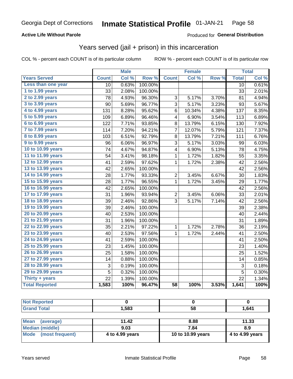### **Active Life Without Parole**

### Produced for General Distribution

## Years served (jail + prison) in this incarceration

COL % - percent each COUNT is of its particular column

|                        |              | <b>Male</b> |                  |                 | <b>Female</b> |                     |              | <b>Total</b> |
|------------------------|--------------|-------------|------------------|-----------------|---------------|---------------------|--------------|--------------|
| <b>Years Served</b>    | <b>Count</b> | Col %       | Row <sup>%</sup> | <b>Count</b>    | Col %         | Row %               | <b>Total</b> | Col %        |
| Less than one year     | 10           | 0.63%       | 100.00%          |                 |               |                     | 10           | 0.61%        |
| 1 to 1.99 years        | 33           | 2.08%       | 100.00%          |                 |               |                     | 33           | 2.01%        |
| 2 to 2.99 years        | 78           | 4.93%       | 96.30%           | 3               | 5.17%         | 3.70%               | 81           | 4.94%        |
| 3 to 3.99 years        | 90           | 5.69%       | 96.77%           | 3               | 5.17%         | 3.23%               | 93           | 5.67%        |
| 4 to 4.99 years        | 131          | 8.28%       | 95.62%           | 6               | 10.34%        | 4.38%               | 137          | 8.35%        |
| 5 to 5.99 years        | 109          | 6.89%       | 96.46%           | 4               | 6.90%         | 3.54%               | 113          | 6.89%        |
| 6 to 6.99 years        | 122          | 7.71%       | 93.85%           | 8               | 13.79%        | 6.15%               | 130          | 7.92%        |
| 7 to 7.99 years        | 114          | 7.20%       | 94.21%           | $\overline{7}$  | 12.07%        | 5.79%               | 121          | 7.37%        |
| <b>8 to 8.99 years</b> | 103          | 6.51%       | 92.79%           | 8               | 13.79%        | 7.21%               | 111          | 6.76%        |
| 9 to 9.99 years        | 96           | 6.06%       | 96.97%           | 3               | 5.17%         | 3.03%               | 99           | 6.03%        |
| 10 to 10.99 years      | 74           | 4.67%       | 94.87%           | 4               | 6.90%         | 5.13%               | 78           | 4.75%        |
| 11 to 11.99 years      | 54           | 3.41%       | 98.18%           | 1               | 1.72%         | 1.82%               | 55           | 3.35%        |
| 12 to 12.99 years      | 41           | 2.59%       | 97.62%           | 1               | 1.72%         | 2.38%               | 42           | 2.56%        |
| 13 to 13.99 years      | 42           | 2.65%       | 100.00%          |                 |               |                     | 42           | 2.56%        |
| 14 to 14.99 years      | 28           | 1.77%       | 93.33%           | $\overline{c}$  | 3.45%         | 6.67%               | 30           | 1.83%        |
| 15 to 15.99 years      | 28           | 1.77%       | 96.55%           | 1               | 1.72%         | 3.45%               | 29           | 1.77%        |
| 16 to 16.99 years      | 42           | 2.65%       | 100.00%          |                 |               |                     | 42           | 2.56%        |
| 17 to 17.99 years      | 31           | 1.96%       | 93.94%           | $\overline{2}$  | 3.45%         | 6.06%               | 33           | 2.01%        |
| 18 to 18.99 years      | 39           | 2.46%       | 92.86%           | 3               | 5.17%         | $\overline{7.14\%}$ | 42           | 2.56%        |
| 19 to 19.99 years      | 39           | 2.46%       | 100.00%          |                 |               |                     | 39           | 2.38%        |
| 20 to 20.99 years      | 40           | 2.53%       | 100.00%          |                 |               |                     | 40           | 2.44%        |
| 21 to 21.99 years      | 31           | 1.96%       | 100.00%          |                 |               |                     | 31           | 1.89%        |
| 22 to 22.99 years      | 35           | 2.21%       | 97.22%           | 1               | 1.72%         | 2.78%               | 36           | 2.19%        |
| 23 to 23.99 years      | 40           | 2.53%       | 97.56%           | 1               | 1.72%         | 2.44%               | 41           | 2.50%        |
| 24 to 24.99 years      | 41           | 2.59%       | 100.00%          |                 |               |                     | 41           | 2.50%        |
| 25 to 25.99 years      | 23           | 1.45%       | 100.00%          |                 |               |                     | 23           | 1.40%        |
| 26 to 26.99 years      | 25           | 1.58%       | 100.00%          |                 |               |                     | 25           | 1.52%        |
| 27 to 27.99 years      | 14           | 0.88%       | 100.00%          |                 |               |                     | 14           | 0.85%        |
| 28 to 28.99 years      | 3            | 0.19%       | 100.00%          |                 |               |                     | 3            | 0.18%        |
| 29 to 29.99 years      | 5            | 0.32%       | 100.00%          |                 |               |                     | 5            | 0.30%        |
| Thirty + years         | 22           | 1.39%       | 100.00%          |                 |               |                     | 22           | 1.34%        |
| <b>Total Reported</b>  | 1,583        | 100%        | 96.47%           | $\overline{58}$ | 100%          | 3.53%               | 1,641        | 100%         |

| <b>Not Reported</b>     |                 |                   |                 |
|-------------------------|-----------------|-------------------|-----------------|
| <b>Grand Total</b>      | 1.583           | 58                | 1,641           |
|                         |                 |                   |                 |
| Mean<br>(average)       | 11.42           | 8.88              | 11.33           |
| <b>Median (middle)</b>  | 9.03            | 7.84              | 8.9             |
| Mode<br>(most frequent) | 4 to 4.99 years | 10 to 10.99 years | 4 to 4.99 years |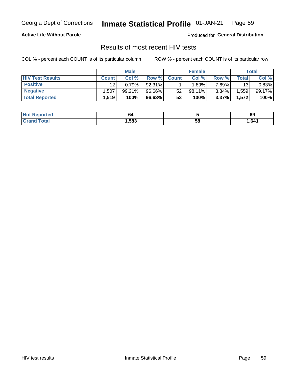#### Inmate Statistical Profile 01-JAN-21 Page 59

**Active Life Without Parole** 

Produced for General Distribution

## Results of most recent HIV tests

COL % - percent each COUNT is of its particular column

|                         | <b>Male</b>  |        |        | <b>Female</b> |         |          | Total |        |
|-------------------------|--------------|--------|--------|---------------|---------|----------|-------|--------|
| <b>HIV Test Results</b> | <b>Count</b> | Col %  | Row %I | <b>Count</b>  | Col %   | Row %    | Total | Col %  |
| <b>Positive</b>         | 12           | 0.79%  | 92.31% |               | $.89\%$ | $7.69\%$ | 13    | 0.83%  |
| <b>Negative</b>         | .507         | 99.21% | 96.66% | 52            | 98.11%  | $3.34\%$ | .559  | 99.17% |
| <b>Total Reported</b>   | 1,519        | 100%   | 96.63% | 53            | 100%    | 3.37%    | 1,572 | 100%   |

| <b>Not</b><br><b>Reported</b> | 64   |    | 0ă   |
|-------------------------------|------|----|------|
| int<br>$10.02$ K $^{-1}$      | ,583 | 58 | .641 |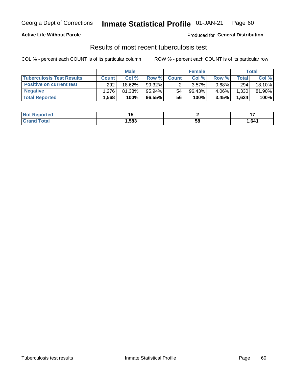## Georgia Dept of Corrections **Inmate Statistical Profile** 01-JAN-21 Page 60

### **Active Life Without Parole**

Produced for **General Distribution**

## Results of most recent tuberculosis test

|                                  | <b>Male</b>  |        |           | <b>Female</b> |           |          | Total        |        |
|----------------------------------|--------------|--------|-----------|---------------|-----------|----------|--------------|--------|
| <b>Tuberculosis Test Results</b> | <b>Count</b> | Col %  | Row %I    | <b>Count</b>  | Col %     | Row %    | <b>Total</b> | Col %  |
| <b>Positive on current test</b>  | 292          | 18.62% | $99.32\%$ |               | 3.57%     | $0.68\%$ | 294          | 18.10% |
| <b>Negative</b>                  | 1.276        | 81.38% | 95.94%    | 54            | $96.43\%$ | 4.06%    | 1,330        | 81.90% |
| <b>Total Reported</b>            | .568         | 100%   | 96.55%    | 56            | 100%      | 3.45%    | 1,624        | 100%   |

| <b>Not Reported</b> |      |    |      |
|---------------------|------|----|------|
| <b>Total</b>        | .583 | วซ | .641 |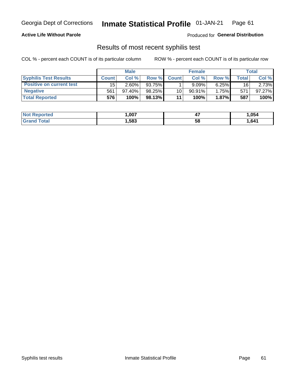## Georgia Dept of Corrections **Inmate Statistical Profile** 01-JAN-21 Page 61

### **Active Life Without Parole**

Produced for **General Distribution**

### Results of most recent syphilis test

|                                 | <b>Male</b>  |           |        | <b>Female</b> |           |          | Total |        |
|---------------------------------|--------------|-----------|--------|---------------|-----------|----------|-------|--------|
| <b>Syphilis Test Results</b>    | <b>Count</b> | Col%      | Row %  | <b>Count</b>  | Col%      | Row %    | Total | Col %  |
| <b>Positive on current test</b> | 15           | $2.60\%$  | 93.75% |               | 9.09%     | $6.25\%$ | 16    | 2.73%  |
| <b>Negative</b>                 | 561          | $97.40\%$ | 98.25% | 10            | $90.91\%$ | 1.75%    | 571   | 97.27% |
| <b>Total Reported</b>           | 576          | 100%      | 98.13% | 11            | 100%      | $1.87\%$ | 587   | 100%   |

| <b>Not Reported</b>     | 007.ء | . .<br>. . | 054. ا |
|-------------------------|-------|------------|--------|
| <b>Total</b><br>' Grand | ,583  | 58         | 641.,  |